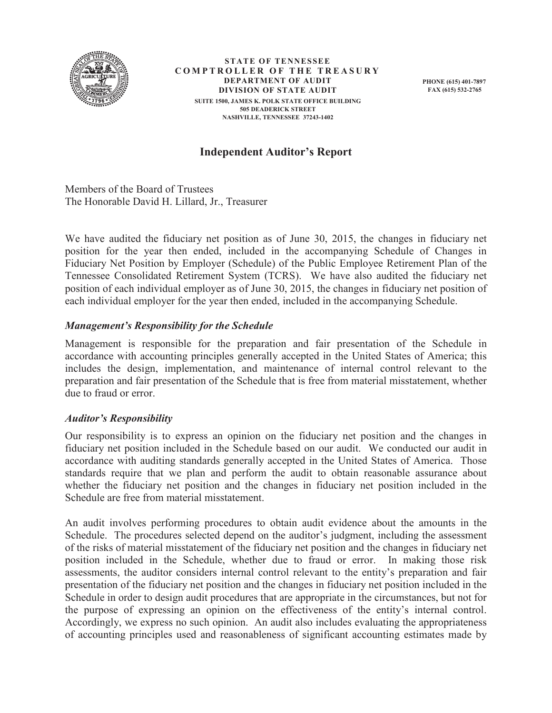

**STATE OF TENNESSEE COMPTROLLER OF THE TREASURY DEPARTMENT OF AUDIT DIVISION OF STATE AUDIT SUITE 1500, JAMES K. POLK STATE OFFICE BUILDING 505 DEADERICK STREET NASHVILLE, TENNESSEE 37243-1402** 

**PHONE (615) 401-7897 FAX (615) 532-2765** 

# **Independent Auditor's Report**

Members of the Board of Trustees The Honorable David H. Lillard, Jr., Treasurer

We have audited the fiduciary net position as of June 30, 2015, the changes in fiduciary net position for the year then ended, included in the accompanying Schedule of Changes in Fiduciary Net Position by Employer (Schedule) of the Public Employee Retirement Plan of the Tennessee Consolidated Retirement System (TCRS). We have also audited the fiduciary net position of each individual employer as of June 30, 2015, the changes in fiduciary net position of each individual employer for the year then ended, included in the accompanying Schedule.

# *Management's Responsibility for the Schedule*

Management is responsible for the preparation and fair presentation of the Schedule in accordance with accounting principles generally accepted in the United States of America; this includes the design, implementation, and maintenance of internal control relevant to the preparation and fair presentation of the Schedule that is free from material misstatement, whether due to fraud or error.

### *Auditor's Responsibility*

Our responsibility is to express an opinion on the fiduciary net position and the changes in fiduciary net position included in the Schedule based on our audit. We conducted our audit in accordance with auditing standards generally accepted in the United States of America. Those standards require that we plan and perform the audit to obtain reasonable assurance about whether the fiduciary net position and the changes in fiduciary net position included in the Schedule are free from material misstatement.

An audit involves performing procedures to obtain audit evidence about the amounts in the Schedule. The procedures selected depend on the auditor's judgment, including the assessment of the risks of material misstatement of the fiduciary net position and the changes in fiduciary net position included in the Schedule, whether due to fraud or error. In making those risk assessments, the auditor considers internal control relevant to the entity's preparation and fair presentation of the fiduciary net position and the changes in fiduciary net position included in the Schedule in order to design audit procedures that are appropriate in the circumstances, but not for the purpose of expressing an opinion on the effectiveness of the entity's internal control. Accordingly, we express no such opinion. An audit also includes evaluating the appropriateness of accounting principles used and reasonableness of significant accounting estimates made by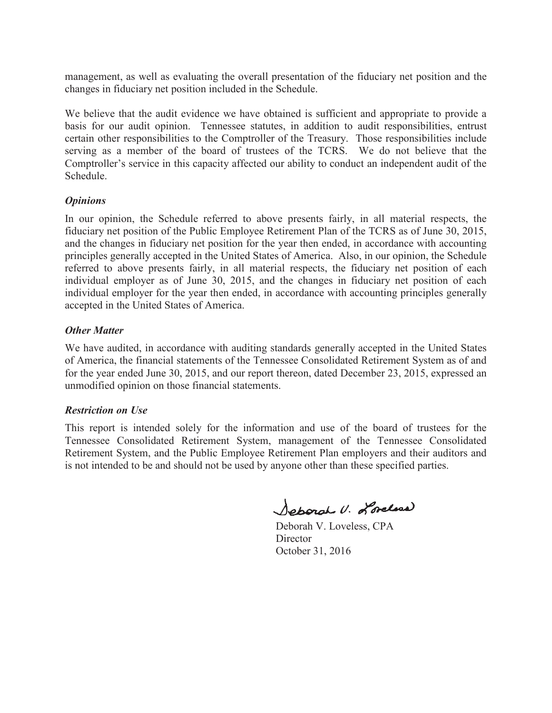management, as well as evaluating the overall presentation of the fiduciary net position and the changes in fiduciary net position included in the Schedule.

We believe that the audit evidence we have obtained is sufficient and appropriate to provide a basis for our audit opinion. Tennessee statutes, in addition to audit responsibilities, entrust certain other responsibilities to the Comptroller of the Treasury. Those responsibilities include serving as a member of the board of trustees of the TCRS. We do not believe that the Comptroller's service in this capacity affected our ability to conduct an independent audit of the Schedule.

## *Opinions*

In our opinion, the Schedule referred to above presents fairly, in all material respects, the fiduciary net position of the Public Employee Retirement Plan of the TCRS as of June 30, 2015, and the changes in fiduciary net position for the year then ended, in accordance with accounting principles generally accepted in the United States of America. Also, in our opinion, the Schedule referred to above presents fairly, in all material respects, the fiduciary net position of each individual employer as of June 30, 2015, and the changes in fiduciary net position of each individual employer for the year then ended, in accordance with accounting principles generally accepted in the United States of America.

## *Other Matter*

We have audited, in accordance with auditing standards generally accepted in the United States of America, the financial statements of the Tennessee Consolidated Retirement System as of and for the year ended June 30, 2015, and our report thereon, dated December 23, 2015, expressed an unmodified opinion on those financial statements.

### *Restriction on Use*

This report is intended solely for the information and use of the board of trustees for the Tennessee Consolidated Retirement System, management of the Tennessee Consolidated Retirement System, and the Public Employee Retirement Plan employers and their auditors and is not intended to be and should not be used by anyone other than these specified parties.

Separal U. Loreline

Deborah V. Loveless, CPA **Director** October 31, 2016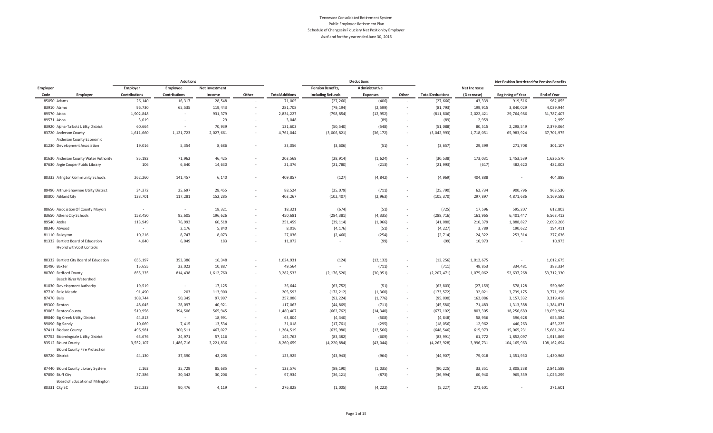|                |                                                                |                      | <b>Additions</b>     |                |        |                        |                          | <b>Deductions</b> |        |                         |                     | Net Position Restricted for Pension Benefits |                    |
|----------------|----------------------------------------------------------------|----------------------|----------------------|----------------|--------|------------------------|--------------------------|-------------------|--------|-------------------------|---------------------|----------------------------------------------|--------------------|
| Employer       |                                                                | Employer             | Employee             | Net Investment |        |                        | <b>Pension Benefits,</b> | Administrative    |        |                         | <b>Net Increase</b> |                                              |                    |
| Code           | Employer                                                       | <b>Contributions</b> | <b>Contributions</b> | Income         | Other  | <b>Total Additions</b> | <b>Including Refunds</b> | Expenses          | Other  | <b>Total Deductions</b> | (Decrease)          | <b>Beginning of Year</b>                     | <b>End of Year</b> |
| 85050 Adams    |                                                                | 26,140               | 16,317               | 28,548         | ×.     | 71,005                 | (27, 260)                | (406)             | $\sim$ | (27, 666)               | 43,339              | 919,516                                      | 962,855            |
| 83910 Alamo    |                                                                | 96,730               | 65,535               | 119,443        | ٠      | 281,708                | (79, 194)                | (2, 599)          |        | (81, 793)               | 199,915             | 3,840,029                                    | 4,039,944          |
| 89570 Alcoa    |                                                                | 1,902,848            | $\sim$               | 931,379        | $\sim$ | 2,834,227              | (798, 854)               | (12, 952)         | $\sim$ | (811, 806)              | 2,022,421           | 29,764,986                                   | 31,787,407         |
| 89571 Alcoa    |                                                                | 3,019                | ٠.                   | 29             |        | 3,048                  | $\sim$                   | (89)              |        | (89)                    | 2,959               | $\sim$                                       | 2,959              |
|                | 83920 Alpha-Talbott Utility District                           | 60,664               | $\sim$               | 70,939         | $\sim$ | 131,603                | (50, 540)                | (548)             |        | (51,088)                | 80,515              | 2,298,549                                    | 2,379,064          |
|                | 83720 Anderson County                                          | 1,611,660            | 1,121,723            | 2,027,661      |        | 4,761,044              | (3,006,821)              | (36, 172)         |        | (3,042,993)             | 1,718,051           | 65,983,924                                   | 67,701,975         |
|                | Anderson County Economic                                       |                      |                      |                |        |                        |                          |                   |        |                         |                     |                                              |                    |
|                | 81230 Development Association                                  | 19,016               | 5,354                | 8,686          |        | 33,056                 | (3,606)                  | (51)              |        | (3, 657)                | 29,399              | 271,708                                      | 301,107            |
|                | 81630 Anderson County Water Authority                          | 85,182               | 71,962               | 46,425         |        | 203,569                | (28, 914)                | (1,624)           |        | (30, 538)               | 173,031             | 1,453,539                                    | 1,626,570          |
|                | 87630 Argie Cooper Public Library                              | 106                  | 6,640                | 14,630         |        | 21,376                 | (21, 780)                | (213)             | $\sim$ | (21, 993)               | (617)               | 482,620                                      | 482,003            |
|                | 80333 Arlington Community Schools                              | 262,260              | 141,457              | 6,140          |        | 409,857                | (127)                    | (4, 842)          | $\sim$ | (4, 969)                | 404,888             |                                              | 404,888            |
|                | 89490 Arthur-Shawnee Utility District                          | 34,372               | 25,697               | 28,455         | ×.     | 88,524                 | (25, 079)                | (711)             |        | (25, 790)               | 62,734              | 900,796                                      | 963,530            |
|                | 80800 Ashland City                                             | 133,701              | 117,281              | 152,285        |        | 403,267                | (102, 407)               | (2, 963)          |        | (105, 370)              | 297,897             | 4,871,686                                    | 5,169,583          |
|                | 88650 Association Of County Mayors                             | $\sim$               | $\sim$               | 18,321         |        | 18,321                 | (674)                    | (51)              | $\sim$ | (725)                   | 17,596              | 595,207                                      | 612,803            |
|                | 83650 Athens City Schools                                      | 158,450              | 95,605               | 196,626        |        | 450,681                | (284, 381)               | (4, 335)          | $\sim$ | (288, 716)              | 161,965             | 6,401,447                                    | 6,563,412          |
| 89540 Atoka    |                                                                | 113,949              | 76,992               | 60,518         | $\sim$ | 251,459                | (39, 114)                | (1, 966)          | $\sim$ | (41,080)                | 210,379             | 1,888,827                                    | 2,099,206          |
| 88340 Atwood   |                                                                | ×                    | 2,176                | 5,840          | ×.     | 8,016                  | (4, 176)                 | (51)              | $\sim$ | (4, 227)                | 3,789               | 190,622                                      | 194,411            |
|                | 81110 Baileyton                                                | 10,216               | 8,747                | 8,073          | $\sim$ | 27,036                 | (2,460)                  | (254)             | $\sim$ | (2, 714)                | 24,322              | 253,314                                      | 277,636            |
|                | 81332 Bartlett Board of Education<br>Hybrid with Cost Controls | 4,840                | 6,049                | 183            |        | 11,072                 | $\sim$                   | (99)              |        | (99)                    | 10,973              | $\sim$                                       | 10,973             |
|                | 80332 Bartlett City Board of Education                         | 655,197              | 353,386              | 16,348         |        | 1,024,931              | (124)                    | (12, 132)         |        | (12, 256)               | 1,012,675           |                                              | 1,012,675          |
| 81490 Baxter   |                                                                | 15,655               | 23,022               | 10,887         |        | 49,564                 | $\sim$                   | (711)             |        | (711)                   | 48,853              | 334,481                                      | 383,334            |
|                | 80760 Bedford County<br>Beech River Watershed                  | 855,335              | 814,438              | 1,612,760      | $\sim$ | 3,282,533              | (2, 176, 520)            | (30, 951)         | $\sim$ | (2, 207, 471)           | 1,075,062           | 52,637,268                                   | 53,712,330         |
|                | 81030 Development Authority                                    | 19,519               | $\sim$               | 17,125         |        | 36,644                 | (63, 752)                | (51)              | $\sim$ | (63, 803)               | (27, 159)           | 578,128                                      | 550,969            |
|                | 87710 Belle Meade                                              | 91,490               | 203                  | 113,900        | $\sim$ | 205,593                | (172, 212)               | (1, 360)          | $\sim$ | (173, 572)              | 32,021              | 3,739,175                                    | 3,771,196          |
| 87470 Bells    |                                                                | 108,744              | 50,345               | 97,997         | ×.     | 257,086                | (93, 224)                | (1, 776)          | $\sim$ | (95,000)                | 162,086             | 3, 157, 332                                  | 3,319,418          |
| 89300 Benton   |                                                                | 48,045               | 28,097               | 40,921         | $\sim$ | 117,063                | (44, 869)                | (711)             | $\sim$ | (45, 580)               | 71,483              | 1,313,388                                    | 1,384,871          |
|                | 83063 Benton County                                            | 519,956              | 394,506              | 565,945        |        | 1,480,407              | (662, 762)               | (14, 340)         | $\sim$ | (677, 102)              | 803,305             | 18, 256, 689                                 | 19,059,994         |
|                | 89840 Big Creek Utility District                               | 44,813               | $\sim$               | 18,991         | ×.     | 63,804                 | (4, 340)                 | (508)             | $\sim$ | (4, 848)                | 58,956              | 596,628                                      | 655,584            |
|                | 89090 Big Sandy                                                | 10,069               | 7,415                | 13,534         | $\sim$ | 31,018                 | (17, 761)                | (295)             |        | (18, 056)               | 12,962              | 440,263                                      | 453,225            |
|                | 87411 Bledsoe County                                           | 496,981              | 300,511              | 467,027        | $\sim$ | 1,264,519              | (635, 980)               | (12, 566)         | $\sim$ | (648, 546)              | 615,973             | 15,065,231                                   | 15,681,204         |
|                | 87752 Bloomingdale Utility District                            | 63,676               | 24,971               | 57,116         | ×,     | 145,763                | (83, 382)                | (609)             |        | (83, 991)               | 61,772              | 1,852,097                                    | 1,913,869          |
|                | 83512 Blount County                                            | 3,552,107            | 1,486,716            | 3,221,836      | ×.     | 8,260,659              | (4, 220, 884)            | (43, 044)         | $\sim$ | (4, 263, 928)           | 3,996,731           | 104, 165, 963                                | 108, 162, 694      |
|                | <b>Blount County Fire Protection</b>                           |                      |                      |                |        |                        |                          |                   |        |                         |                     |                                              |                    |
| 89720 District |                                                                | 44,130               | 37,590               | 42,205         | $\sim$ | 123,925                | (43, 943)                | (964)             |        | (44, 907)               | 79,018              | 1,351,950                                    | 1,430,968          |
|                | 87440 Blount County Library System                             | 2,162                | 35,729               | 85,685         |        | 123,576                | (89, 190)                | (1,035)           |        | (90, 225)               | 33,351              | 2,808,238                                    | 2,841,589          |
|                | 87850 Bluff City                                               | 37,386               | 30,342               | 30,206         |        | 97,934                 | (36, 121)                | (873)             |        | (36, 994)               | 60,940              | 965,359                                      | 1,026,299          |
|                | Board of Education of Millington                               |                      |                      |                |        |                        |                          |                   |        |                         |                     |                                              |                    |
| 80331 City SC  |                                                                | 182,233              | 90,476               | 4,119          | $\sim$ | 276,828                | (1,005)                  | (4, 222)          |        | (5, 227)                | 271,601             |                                              | 271,601            |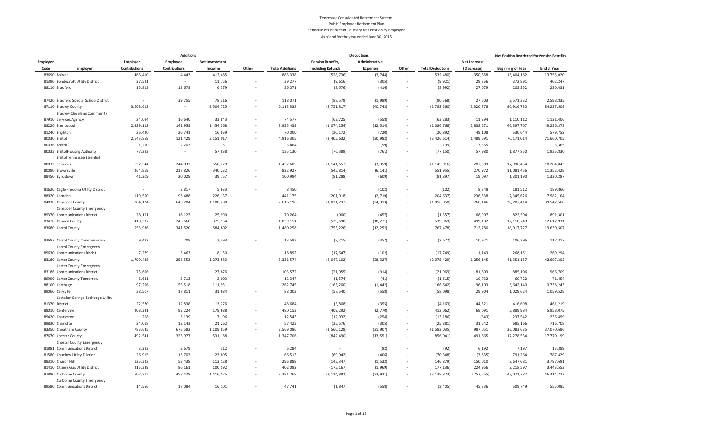|                 |                                                                |               | <b>Additions</b> |                |        |                        |                          | <b>Deductions</b> |        |                         |              | Net Position Restricted for Pension Benefits |                    |
|-----------------|----------------------------------------------------------------|---------------|------------------|----------------|--------|------------------------|--------------------------|-------------------|--------|-------------------------|--------------|----------------------------------------------|--------------------|
| Employer        |                                                                | Employer      | Employee         | Net Investment |        |                        | <b>Pension Benefits,</b> | Administrative    |        |                         | Net Increase |                                              |                    |
| Code            | Employer                                                       | Contributions | Contributions    | Income         | Other  | <b>Total Additions</b> | <b>Including Refunds</b> | <b>Expenses</b>   | Other  | <b>Total Deductions</b> | (Decrease)   | <b>Beginning of Year</b>                     | <b>End of Year</b> |
| 83690 Bolivar   |                                                                | 466,410       | 4,443            | 412,485        |        | 883,338                | (528, 736)               | (3, 744)          |        | (532, 480)              | 350,858      | 13,404,162                                   | 13,755,020         |
|                 | 81390 Bondecroft Utility District                              | 27,521        | $\sim$           | 11,756         |        | 39,277                 | (9,616)                  | (305)             |        | (9, 921)                | 29,356       | 372,891                                      | 402,247            |
| 88110 Bradford  |                                                                | 15,813        | 13,679           | 6,579          |        | 36,071                 | (8, 576)                 | (416)             |        | (8,992)                 | 27,079       | 203,352                                      | 230,431            |
|                 | 87420 Bradford Special School District                         | $\sim$        | 39,755           | 78,316         | ×      | 118,071                | (88, 579)                | (1,989)           | $\sim$ | (90, 568)               | 27,503       | 2,571,332                                    | 2,598,835          |
|                 | 87110 Bradley County                                           | 3,608,613     | $\sim$           | 2,504,725      | $\sim$ | 6, 113, 338            | (2, 751, 817)            | (40, 743)         | $\sim$ | (2, 792, 560)           | 3,320,778    | 80,916,730                                   | 84, 237, 508       |
|                 | Bradley-Cleveland Community                                    |               |                  |                |        |                        |                          |                   |        |                         |              |                                              |                    |
|                 | 87910 Services Agency                                          | 24,094        | 16,640           | 33,843         |        | 74,577                 | (62, 725)                | (558)             | $\sim$ | (63, 283)               | 11,294       | 1, 110, 112                                  | 1,121,406          |
|                 | 83220 Brentwood                                                | 2,329,112     | 141,959          | 1,454,368      |        | 3,925,439              | (1,074,254)              | (12, 514)         |        | (1,086,768)             | 2,838,671    | 46,397,707                                   | 49, 236, 378       |
| 81240 Brighton  |                                                                | 26,420        | 26,741           | 16,839         |        | 70,000                 | (20, 172)                | (720)             |        | (20, 892)               | 49,108       | 530,644                                      | 579,752            |
| 80030 Bristol   |                                                                | 2,643,859     | 121,429          | 2, 151, 017    |        | 4,916,305              | (3, 405, 632)            | (20, 982)         | $\sim$ | (3, 426, 614)           | 1,489,691    | 70, 171, 014                                 | 71,660,705         |
| 80036 Bristol   |                                                                | 1,210         | 2,203            | 51             |        | 3,464                  | $\sim$                   | (99)              |        | (99)                    | 3,365        | $\epsilon$                                   | 3,365              |
|                 | 80033 Bristol Housing Authority                                | 77,292        | $\sim$           | 57,838         |        | 135,130                | (76, 389)                | (761)             |        | (77, 150)               | 57,980       | 1,877,850                                    | 1,935,830          |
|                 | <b>Bristol Tennessee Essential</b>                             |               |                  |                |        |                        |                          |                   |        |                         |              |                                              |                    |
| 80032 Services  |                                                                | 637,544       | 244,832          | 550,229        |        | 1,432,605              | (1, 141, 657)            | (3, 359)          |        | (1, 145, 016)           | 287,589      | 17,996,454                                   | 18,284,043         |
|                 | 80090 Brownsville                                              | 264,869       | 217,826          | 340,232        |        | 822,927                | (545, 814)               | (6, 141)          |        | (551, 955)              | 270,972      | 11,081,456                                   | 11,352,428         |
|                 | 88450 Byrdstown                                                | 41,209        | 20,028           | 39,757         |        | 100,994                | (81, 288)                | (609)             | $\sim$ | (81, 897)               | 19,097       | 1,301,190                                    | 1,320,287          |
|                 | 81620 Cagle Fredonia Utility District                          | $\sim$        | 2,817            | 5,633          |        | 8,450                  | $\sim$                   | (102)             |        | (102)                   | 8,348        | 181,512                                      | 189,860            |
| 88020 Camden    |                                                                | 119,550       | 95,488           | 226,137        |        | 441,175                | (201, 918)               | (2, 719)          |        | (204, 637)              | 236,538      | 7,345,626                                    | 7,582,164          |
|                 | 84030 Campbell County                                          | 784,124       | 643,784          | 1,188,288      |        | 2,616,196              | (1, 831, 737)            | (24, 313)         |        | (1, 856, 050)           | 760,146      | 38,787,414                                   | 39,547,560         |
|                 | Campbell County Emergency                                      |               |                  |                |        |                        |                          |                   |        |                         |              |                                              |                    |
|                 | 89370 Communications District                                  | 28,151        | 16,123           | 25,990         |        | 70,264                 | (900)                    | (457)             |        | (1, 357)                | 68,907       | 822,394                                      | 891,301            |
|                 | 83470 Cannon County                                            | 418,337       | 245,660          | 375,154        | ×.     | 1,039,151              | (529, 698)               | (10, 271)         |        | (539, 969)              | 499,182      | 12, 118, 749                                 | 12,617,931         |
|                 | 83680 Carroll County                                           | 553,936       | 341,520          | 584,802        |        | 1,480,258              | (755, 226)               | (12, 252)         |        | (767, 478)              | 712,780      | 18,917,727                                   | 19,630,507         |
|                 | 83687 Carroll County Commissioners<br>Carroll County Emergency | 9,492         | 708              | 3,393          |        | 13,593                 | (2, 215)                 | (457)             |        | (2, 672)                | 10,921       | 106,396                                      | 117,317            |
|                 | 89630 Communications Disrict                                   | 7,279         | 3,463            | 8,150          | ٠      | 18,892                 | (17, 647)                | (102)             |        | (17, 749)               | 1,143        | 268,151                                      | 269,294            |
|                 | 83180 Carter County<br>Carter County Emergency                 | 1,799,438     | 258,553          | 1,273,583      |        | 3,331,574              | (2,047,102)              | (28, 327)         | $\sim$ | (2,075,429)             | 1,256,145    | 41, 351, 157                                 | 42,607,302         |
|                 | 83186 Communications District                                  | 75,696        | $\sim$           | 27,876         | ×.     | 103,572                | (21, 055)                | (914)             | $\sim$ | (21, 969)               | 81,603       | 885,106                                      | 966,709            |
|                 | 89990 Carter County Tomorrow                                   | 6,631         | 3,713            | 2,003          |        | 12,347                 | (1, 574)                 | (41)              |        | (1, 615)                | 10,732       | 60,722                                       | 71,454             |
| 88100 Carthage  |                                                                | 97,296        | 53,518           | 111,931        | $\sim$ | 262,745                | (165, 200)               | (1, 442)          |        | (166, 642)              | 96,103       | 3,642,140                                    | 3,738,243          |
| 89060 Caryville |                                                                | 38,507        | 17,811           | 31,684         |        | 88,002                 | (57, 540)                | (558)             | $\sim$ | (58,098)                | 29,904       | 1,029,624                                    | 1,059,528          |
|                 | Castalian Springs-Bethpage Utility                             |               |                  |                |        |                        |                          |                   |        |                         |              |                                              |                    |
| 81370 District  |                                                                | 22,570        | 12,838           | 13,276         |        | 48,684                 | (3,808)                  | (355)             |        | (4, 163)                | 44,521       | 416,698                                      | 461,219            |
|                 | 88010 Centerville                                              | 208,241       | 92,224           | 179,688        |        | 480,153                | (409, 292)               | (2, 770)          |        | (412, 062)              | 68,091       | 5,889,984                                    | 5,958,075          |
|                 | 89420 Charleston                                               | 208           | 5,139            | 7,196          |        | 12,543                 | (12, 932)                | (254)             | $\sim$ | (13, 186)               | (643)        | 237,542                                      | 236,899            |
|                 | 89830 Charlotte                                                | 24,018        | 12,143           | 21,262         |        | 57,423                 | (25, 576)                | (305)             | $\sim$ | (25, 881)               | 31,542       | 685,166                                      | 716,708            |
|                 | 83350 Cheatham County                                          | 783,645       | 675,582          | 1,109,859      |        | 2,569,086              | (1, 560, 128)            | (21, 907)         |        | (1, 582, 035)           | 987,051      | 36,083,635                                   | 37,070,686         |
|                 | 87670 Chester County                                           | 492,541       | 323,977          | 531,188        |        | 1,347,706              | (842, 490)               | (13, 551)         |        | (856, 041)              | 491,665      | 17,278,534                                   | 17,770,199         |
|                 | <b>Chester County Emergency</b>                                |               |                  |                |        |                        |                          |                   |        |                         |              |                                              |                    |
|                 | 81881 Communications District                                  | 3,293         | 2,679            | 312            |        | 6,284                  | $\sim$                   | (92)              |        | (92)                    | 6,192        | 7,197                                        | 13,389             |
|                 | 81580 Chuckey Utility District                                 | 26,915        | 15,703           | 23,895         |        | 66,513                 | (69, 942)                | (406)             |        | (70, 348)               | (3, 835)     | 791,264                                      | 787,429            |
|                 | 88310 Church Hill                                              | 125,323       | 58,438           | 113,128        |        | 296,889                | (145, 347)               | (1, 532)          | $\sim$ | (146, 879)              | 150,010      | 3,647,681                                    | 3,797,691          |
|                 | 81410 Citizens Gas Utility District                            | 215,339       | 86,161           | 100,592        |        | 402,092                | (175, 167)               | (1, 969)          |        | (177, 136)              | 224,956      | 3,218,597                                    | 3,443,553          |
|                 | 87880 Claiborne County                                         | 507,315       | 457,428          | 1,416,525      |        | 2,381,268              | (3, 114, 892)            | (23, 931)         | $\sim$ | (3, 138, 823)           | (757, 555)   | 47,071,782                                   | 46, 314, 227       |
|                 | Claiborne County Emergency                                     |               |                  |                |        |                        |                          |                   |        |                         |              |                                              |                    |
|                 | 89580 Communications District                                  | 14,556        | 17,084           | 16,101         |        | 47,741                 | (1, 847)                 | (558)             |        | (2, 405)                | 45,336       | 509,749                                      | 555,085            |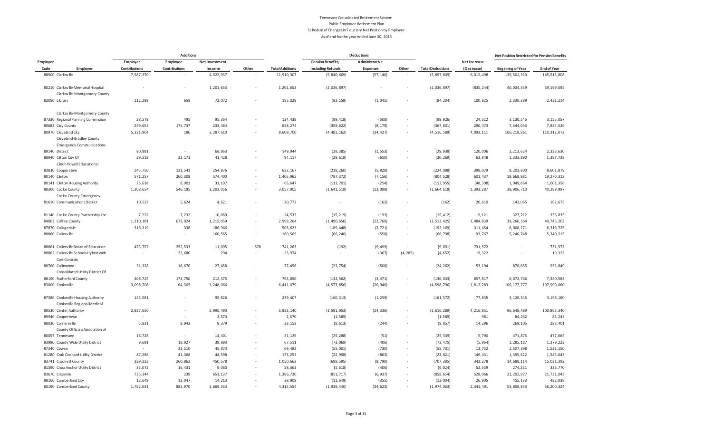|                                                                                     |                          | <b>Additions</b> |                   |                          |                        |                          | <b>Deductions</b> |                                    |                          |                      | Net Position Restricted for Pension Benefits |                         |
|-------------------------------------------------------------------------------------|--------------------------|------------------|-------------------|--------------------------|------------------------|--------------------------|-------------------|------------------------------------|--------------------------|----------------------|----------------------------------------------|-------------------------|
| Employer                                                                            | Employer                 | Employee         | Net Investment    |                          |                        | <b>Pension Benefits,</b> | Administrative    |                                    |                          | Net Increase         |                                              |                         |
| Code<br>Employer                                                                    | Contributions            | Contributions    | Income            | Other                    | <b>Total Additions</b> | <b>Including Refunds</b> | <b>Expenses</b>   | Other                              | <b>Total Deductions</b>  | (Decrease)           | <b>Beginning of Year</b>                     | <b>End of Year</b>      |
| 88900 Clarksville                                                                   | 7,587,370                | $\sim$           | 4,322,937         | ×.                       | 11,910,307             | (5,840,669)              | (57, 140)         |                                    | (5, 897, 809)            | 6,012,498            | 139,501,310                                  | 145, 513, 808           |
| 80210 Clarksville Memorial Hospital                                                 | $\overline{\phantom{a}}$ | $\sim$           | 1,201,653         | $\overline{\phantom{a}}$ | 1,201,653              | (2,036,897)              |                   |                                    | (2,036,897)              | (835, 244)           | 40,034,339                                   | 39, 199, 095            |
| Clarksville-Montgomery County                                                       |                          |                  |                   |                          |                        |                          |                   |                                    |                          |                      |                                              |                         |
| 82050 Library                                                                       | 112,299                  | 658              | 72,072            | $\overline{\phantom{a}}$ | 185,029                | (83, 159)                | (1,045)           |                                    | (84, 204)                | 100,825              | 2,330,389                                    | 2,431,214               |
| Clarksville-Montgomery County                                                       |                          |                  |                   |                          |                        |                          |                   |                                    |                          |                      |                                              |                         |
| 87330 Regional Planning Commission                                                  | 28,579                   | 495              | 95,364            |                          | 124,438                | (99, 418)                | (508)             |                                    | (99, 926)                | 24,512               | 3, 130, 545                                  | 3, 155, 057             |
| 80682 Clay County                                                                   | 249,053                  | 175,737          | 233,484           | ×.                       | 658,274                | (359, 622)               | (8, 179)          | ٠                                  | (367, 801)               | 290,473              | 7,544,053                                    | 7,834,526               |
| 80970 Cleveland City<br>Cleveland-Bradley County<br><b>Emergency Communications</b> | 5,321,904                | 186              | 3,287,610         |                          | 8,609,700              | (4, 482, 162)            | (34, 427)         | $\sim$                             | (4, 516, 589)            | 4,093,111            | 106, 218, 961                                | 110, 312, 072           |
| 89140 District                                                                      | 80,981                   | $\sim$           | 68,963            |                          | 149,944                | (28, 385)                | (1, 553)          |                                    | (29, 938)                | 120,006              | 2,213,624                                    | 2,333,630               |
| 88940 Clifton City Of                                                               | 29,518                   | 23,171           | 41,428            |                          | 94,117                 | (29, 619)                | (650)             |                                    | (30, 269)                | 63,848               | 1,333,890                                    | 1,397,738               |
| Clinch Powell Educational                                                           |                          |                  |                   |                          |                        |                          |                   |                                    |                          |                      |                                              |                         |
| 83830 Cooperative                                                                   | 245,750                  | 121,541          | 254,876           | ٠                        | 622,167                | (218, 260)               | (5,828)           |                                    | (224, 088)               | 398,079              | 8,203,800                                    | 8,601,879               |
| 80140 Clinton                                                                       | 571,257<br>25,638        | 260,308<br>8,902 | 574,400<br>31,107 | ×.<br>٠                  | 1,405,965<br>65,647    | (797, 372)<br>(113, 701) | (7, 156)<br>(254) | $\overline{\phantom{a}}$<br>$\sim$ | (804, 528)<br>(113, 955) | 601,437<br>(48, 308) | 18,668,881<br>1,049,664                      | 19,270,318<br>1,001,356 |
| 80141 Clinton Housing Authority                                                     |                          |                  |                   |                          |                        |                          |                   |                                    |                          |                      |                                              | 40, 299, 997            |
| 88300 Cocke County                                                                  | 1,308,654                | 546,195          | 1,203,056         |                          | 3,057,905              | (1,641,519)              | (23,099)          | $\sim$                             | (1,664,618)              | 1,393,287            | 38,906,710                                   |                         |
| Cocke County Emergency<br>81610 Communications District                             | 10,527                   | 5,624            | 4,621             | ×.                       | 20,772                 | $\sim$                   | (162)             | $\sim$                             | (162)                    | 20,610               | 142,065                                      | 162,675                 |
|                                                                                     |                          |                  |                   |                          |                        |                          |                   |                                    |                          |                      |                                              |                         |
| 81140 Cocke County Partnership Inc                                                  | 7,232                    | 7,232            | 10,069            | ä,                       | 24,533                 | (15, 219)                | (193)             |                                    | (15, 412)                | 9,121                | 327,712                                      | 336,833                 |
| 84003 Coffee County                                                                 | 1, 110, 181              | 673,024          | 1,215,059         | $\sim$                   | 2,998,264              | (1,490,656)              | (22, 769)         | $\sim$                             | (1, 513, 425)            | 1,484,839            | 39, 260, 364                                 | 40,745,203              |
| 87870 Collegedale                                                                   | 316,319                  | 338              | 186,966           |                          | 503,623                | (189, 448)               | (2, 721)          | $\overline{\phantom{a}}$           | (192, 169)               | 311,454              | 6,008,271                                    | 6,319,725               |
| 88860 Collierville                                                                  | $\sim$                   | $\sim$           | 160,565           | $\sim$                   | 160,565                | (66, 240)                | (558)             |                                    | (66, 798)                | 93,767               | 5,246,748                                    | 5,340,515               |
| 88861 Collierville Board of Education                                               | 473,757                  | 255,533          | 11,095            | 878                      | 741,263                | (192)                    | (9, 499)          | $\epsilon$                         | (9,691)                  | 731,572              |                                              | 731,572                 |
| 88862 Collierville Schools Hybrid with<br>Cost Controls                             | $\sim$                   | 23,680           | 294               |                          | 23,974                 | ٠                        | (367)             | (4, 285)                           | (4, 652)                 | 19,322               |                                              | 19,322                  |
| 88760 Collinwood                                                                    | 31,328                   | 18,670           | 27,458            |                          | 77,456                 | (23, 754)                | (508)             | $\overline{\phantom{a}}$           | (24, 262)                | 53,194               | 878,655                                      | 931,849                 |
| Consolidated Utility District Of                                                    |                          |                  |                   |                          |                        |                          |                   |                                    |                          |                      |                                              |                         |
| 88190 Rutherford County                                                             | 408,725                  | 172,750          | 212,375           |                          | 793,850                | (132, 562)               | (3, 471)          |                                    | (136, 033)               | 657,817              | 6,672,766                                    | 7,330,583               |
| 83000 Cookeville                                                                    | 3,098,708                | 64,305           | 3,248,066         | ×.                       | 6,411,079              | (4, 577, 856)            | (20, 940)         | $\overline{\phantom{a}}$           | (4, 598, 796)            | 1,812,283            | 106, 177, 777                                | 107,990,060             |
| 87380 Cookeville Housing Authority<br>Cookeville Regional Medical                   | 143,581                  | $\sim$           | 95,826            | ×.                       | 239,407                | (160, 313)               | (1, 259)          | $\sim$                             | (161, 572)               | 77,835               | 3,120,345                                    | 3, 198, 180             |
| 89530 Center Authority                                                              | 2,837,650                | $\sim$           | 2,995,490         |                          | 5,833,140              | (1, 591, 953)            | (24, 336)         | $\sim$                             | (1,616,289)              | 4,216,851            | 96,648,489                                   | 100, 865, 340           |
| 89940 Coopertown                                                                    | $\sim$                   | $\epsilon$       | 2,570             |                          | 2,570                  | (1, 589)                 |                   |                                    | (1, 589)                 | 981                  | 84,262                                       | 85,243                  |
| 88030 Cornersville<br>County Officials Association of                               | 5,831                    | 8,943            | 8,379             | $\sim$                   | 23,153                 | (8, 613)                 | (244)             |                                    | (8, 857)                 | 14,296               | 269,105                                      | 283,401                 |
| 80057 Tennessee                                                                     | 16,728                   | $\sim$           | 14,401            |                          | 31,129                 | (25, 288)                | (51)              |                                    | (25, 339)                | 5,790                | 471,875                                      | 477,665                 |
| 83980 County Wide Utility District                                                  | 9,691                    | 18,927           | 38,893            | $\sim$                   | 67,511                 | (73,069)                 | (406)             |                                    | (73, 475)                | (5, 964)             | 1,285,187                                    | 1,279,223               |
| 87340 Cowan                                                                         | $\sim$                   | 23,510           | 45,973            |                          | 69,483                 | (55,001)                 | (730)             |                                    | (55, 731)                | 13,752               | 1,507,398                                    | 1,521,150               |
| 81280 Crab Orchard Utility District                                                 | 87,286                   | 41,368           | 44,598            |                          | 173,252                | (22, 958)                | (863)             |                                    | (23, 821)                | 149,431              | 1,395,612                                    | 1,545,043               |
| 83741 Crockett County                                                               | 339,223                  | 260,862          | 450,578           | $\sim$                   | 1,050,663              | (698, 595)               | (8, 790)          | $\sim$                             | (707, 385)               | 343,278              | 14,688,114                                   | 15,031,392              |
| 81590 Cross Anchor Utility District                                                 | 33,072                   | 16,431           | 9,060             |                          | 58,563                 | (5, 618)                 | (406)             |                                    | (6, 024)                 | 52,539               | 274,231                                      | 326,770                 |
| 83670 Crossville                                                                    | 735,344                  | 239              | 651,137           |                          | 1,386,720              | (851, 717)               | (6, 937)          |                                    | (858, 654)               | 528,066              | 21, 202, 977                                 | 21,731,043              |
| 88160 Cumberland City                                                               | 12,649                   | 12,047           | 14,213            |                          | 38,909                 | (11, 649)                | (355)             |                                    | (12,004)                 | 26,905               | 455,133                                      | 482,038                 |
| 80190 Cumberland County                                                             | 1,762,031                | 883,970          | 1,669,553         |                          | 4,315,554              | (1,939,440)              | (34, 623)         |                                    | (1, 974, 063)            | 2,341,491            | 53,858,833                                   | 56,200,324              |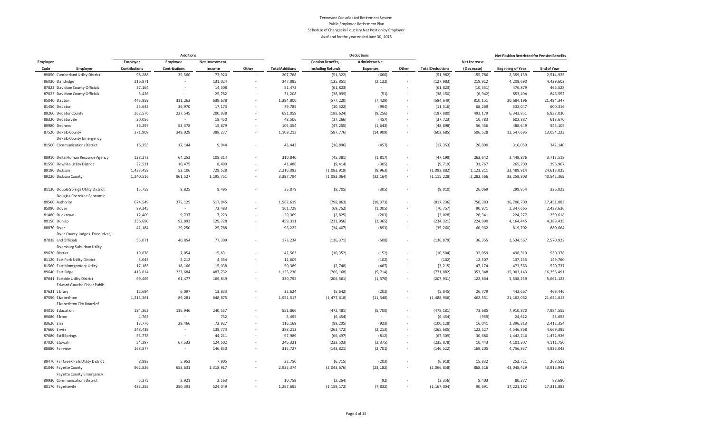|                                                                    |                      | <b>Additions</b>     |                |        |                        |                          | <b>Deductions</b> |        |                         |              | Net Position Restricted for Pension Benefits |                    |
|--------------------------------------------------------------------|----------------------|----------------------|----------------|--------|------------------------|--------------------------|-------------------|--------|-------------------------|--------------|----------------------------------------------|--------------------|
| Employer                                                           | Employer             | Employee             | Net Investment |        |                        | <b>Pension Benefits,</b> | Administrative    |        |                         | Net Increase |                                              |                    |
| Code<br>Employer                                                   | <b>Contributions</b> | <b>Contributions</b> | Income         | Other  | <b>Total Additions</b> | <b>Including Refunds</b> | <b>Expenses</b>   | Other  | <b>Total Deductions</b> | (Decrease)   | <b>Beginning of Year</b>                     | <b>End of Year</b> |
| 89850 Cumberland Utility District                                  | 98,288               | 35,560               | 73,920         |        | 207,768                | (51, 322)                | (660)             |        | (51, 982)               | 155,786      | 2,359,139                                    | 2,514,925          |
| 86030 Dandridge                                                    | 216,871              |                      | 131,024        |        | 347,895                | (125, 851)               | (2, 132)          |        | (127, 983)              | 219,912      | 4,209,690                                    | 4,429,602          |
| 87822 Davidson County Officials                                    | 37,164               | $\epsilon$           | 14,308         |        | 51,472                 | (61, 823)                | ×.                |        | (61, 823)               | (10, 351)    | 476,879                                      | 466,528            |
| 87823 Davidson County Officials                                    | 5,426                | $\sim$               | 25,782         |        | 31,208                 | (38,099)                 | (51)              |        | (38, 150)               | (6, 942)     | 853,494                                      | 846,552            |
| 85040 Dayton                                                       | 443,859              | 311,263              | 639,678        | ×.     | 1,394,800              | (577, 220)               | (7, 429)          | $\sim$ | (584, 649)              | 810, 151     | 20,684,196                                   | 21,494,347         |
| 81450 Decatur                                                      | 25,642               | 36,970               | 17,173         |        | 79,785                 | (10, 522)                | (994)             |        | (11, 516)               | 68,269       | 532,047                                      | 600,316            |
| 89260 Decatur County                                               | 262,576              | 227,545              | 200,938        | $\sim$ | 691,059                | (188, 624)               | (9, 256)          |        | (197, 880)              | 493,179      | 6,343,851                                    | 6,837,030          |
| 88320 Decaturville                                                 | 30,056               | $\sim$               | 18,450         |        | 48,506                 | (37, 266)                | (457)             |        | (37, 723)               | 10,783       | 602,887                                      | 613,670            |
| 89980 Decherd                                                      | 36,297               | 53,378               | 15,679         |        | 105,354                | (47, 255)                | (1, 643)          |        | (48, 898)               | 56,456       | 488,649                                      | 545,105            |
| 87520 Dekalb County                                                | 371,908              | 349,028              | 388,277        |        | 1,109,213              | (587, 776)               | (14, 909)         |        | (602, 685)              | 506,528      | 12,547,695                                   | 13,054,223         |
| Dekalb County Emergency                                            |                      |                      |                |        |                        |                          |                   |        |                         |              |                                              |                    |
| 81500 Communications District                                      | 16,355               | 17,144               | 9,944          |        | 43,443                 | (16, 896)                | (457)             |        | (17, 353)               | 26,090       | 316,050                                      | 342,140            |
| 88910 Delta Human Resource Agency                                  | 138,273              | 64,253               | 108,314        |        | 310,840                | (45, 381)                | (1, 817)          |        | (47, 198)               | 263,642      | 3,449,876                                    | 3,713,518          |
| 81550 Dewhite Utility District                                     | 22,521               | 10,475               | 8,490          |        | 41,486                 | (9, 414)                 | (305)             |        | (9, 719)                | 31,767       | 265,200                                      | 296,967            |
| 89190 Dickson                                                      | 1,433,459            | 53,106               | 729,528        | ×,     | 2,216,093              | (1,083,919)              | (8, 963)          |        | (1,092,882)             | 1, 123, 211  | 23, 489, 814                                 | 24,613,025         |
| 89220 Dickson County                                               | 1,240,516            | 961,527              | 1, 195, 751    |        | 3,397,794              | (1,083,064)              | (32, 164)         | $\sim$ | (1, 115, 228)           | 2,282,566    | 38, 259, 803                                 | 40,542,369         |
| 81130 Double Springs Utility District<br>Douglas-Cherokee Economic | 15,759               | 9,825                | 9,495          |        | 35,079                 | (8, 705)                 | (305)             |        | (9,010)                 | 26,069       | 299,954                                      | 326,023            |
| 89560 Authority                                                    | 674,549              | 375,125              | 517,945        |        | 1,567,619              | (798, 863)               | (18, 373)         |        | (817, 236)              | 750,383      | 16,700,700                                   | 17,451,083         |
| 85090 Dover                                                        | 89,245               | $\sim$               | 72,483         | $\sim$ | 161,728                | (69, 752)                | (1,005)           | $\sim$ | (70, 757)               | 90,971       | 2,347,665                                    | 2,438,636          |
| 81480 Ducktown                                                     | 12,409               | 9,737                | 7,223          |        | 29,369                 | (2, 825)                 | (203)             |        | (3,028)                 | 26,341       | 224, 277                                     | 250,618            |
| 89150 Dunlap                                                       | 236,690              | 92,893               | 129,728        | $\sim$ | 459,311                | (231, 956)               | (2, 365)          | $\sim$ | (234, 321)              | 224,990      | 4, 164, 445                                  | 4,389,435          |
| 88870 Dyer                                                         | 41,184               | 29,250               | 25,788         |        | 96,222                 | (34, 407)                | (853)             |        | (35, 260)               | 60,962       | 819,702                                      | 880,664            |
| Dyer County Judges, Executives,                                    |                      |                      |                |        |                        |                          |                   |        |                         |              |                                              |                    |
| 87838 and Officials                                                | 55,071               | 40,854               | 77,309         |        | 173,234                | (136, 371)               | (508)             |        | (136, 879)              | 36,355       | 2,534,567                                    | 2,570,922          |
| Dyersburg Suburban Utility                                         |                      |                      |                |        |                        |                          |                   |        |                         |              |                                              |                    |
| 89620 District                                                     | 19,878               | 7,054                | 15,631         |        | 42,563                 | (10, 352)                | (152)             | $\sim$ | (10, 504)               | 32,059       | 498,319                                      | 530,378            |
| 81120 East Fork Utility District                                   | 5,043                | 3,212                | 4,354          |        | 12,609                 |                          | (102)             |        | (102)                   | 12,507       | 137,253                                      | 149,760            |
| 81560 East Montgomery Utility                                      | 17,185               | 18,166               | 15,038         | $\sim$ | 50,389                 | (2,748)                  | (467)             |        | (3, 215)                | 47,174       | 473,563                                      | 520,737            |
| 89640 East Ridge                                                   | 413,814              | 223,684              | 487,732        |        | 1,125,230              | (766, 168)               | (5, 714)          | $\sim$ | (771, 882)              | 353,348      | 15,903,143                                   | 16, 256, 491       |
| 87641 Eastside Utility District                                    | 99,469               | 61,477               | 169,849        |        | 330,795                | (206, 561)               | (1, 370)          |        | (207, 931)              | 122,864      | 5,538,259                                    | 5,661,123          |
| Edward Gauche Fisher Public                                        |                      |                      |                |        |                        |                          |                   |        |                         |              |                                              |                    |
| 87631 Library                                                      | 12,694               | 6,097                | 13,833         |        | 32,624                 | (5, 642)                 | (203)             |        | (5, 845)                | 26,779       | 442,667                                      | 469,446            |
| 87550 Elizabethton                                                 | 1,213,361            | 89,281               | 648,875        |        | 1,951,517              | (1, 477, 618)            | (11, 348)         |        | (1, 488, 966)           | 462,551      | 21, 162, 062                                 | 21,624,613         |
| Elizabethton City Board of                                         |                      |                      |                |        |                        |                          |                   |        |                         |              |                                              |                    |
| 84010 Education                                                    | 194,363              | 116,946              | 240,557        |        | 551,866                | (472, 481)               | (5,700)           |        | (478, 181)              | 73,685       | 7,910,870                                    | 7,984,555          |
| 89680 Elkton                                                       | 4,763                | $\sim$               | 732            |        | 5,495                  | (6, 454)                 |                   |        | (6, 454)                | (959)        | 24,612                                       | 23,653             |
| 83620 Erin                                                         | 13,776               | 29,466               | 72,927         |        | 116,169                | (99, 205)                | (923)             |        | (100, 128)              | 16,041       | 2,396,313                                    | 2,412,354          |
| 87660 Erwin                                                        | 248,439              | $\sim$               | 139,773        | $\sim$ | 388,212                | (263, 472)               | (2, 213)          | $\sim$ | (265, 685)              | 122,527      | 4,546,868                                    | 4,669,395          |
| 87680 Estill Springs                                               | 53,778               | $\sim$               | 44,211         |        | 97,989                 | (66, 497)                | (812)             |        | (67, 309)               | 30,680       | 1,442,246                                    | 1,472,926          |
| 87020 Etowah                                                       | 54,287               | 67,532               | 124,502        | ×.     | 246,321                | (233, 503)               | (2, 375)          | $\sim$ | (235, 878)              | 10,443       | 4, 101, 307                                  | 4, 111, 750        |
| 88880 Fairview                                                     | 168,877              | $\sim$               | 146,850        |        | 315,727                | (143, 821)               | (2,701)           | $\sim$ | (146, 522)              | 169,205      | 4,756,837                                    | 4,926,042          |
| 89470 Fall Creek Falls Utility District                            | 8,893                | 5,952                | 7,905          |        | 22,750                 | (6, 715)                 | (203)             | $\sim$ | (6, 918)                | 15,832       | 252,721                                      | 268,553            |
| 81040 Fayette County                                               | 962,826              | 653,631              | 1,318,917      |        | 2,935,374              | (2,043,676)              | (23, 182)         | $\sim$ | (2,066,858)             | 868,516      | 43,048,429                                   | 43, 916, 945       |
| <b>Fayette County Emergency</b>                                    |                      |                      |                |        |                        |                          |                   |        |                         |              |                                              |                    |
| 89930 Communications District                                      | 5,275                | 2,921                | 2,563          |        | 10,759                 | (2, 264)                 | (92)              |        | (2, 356)                | 8,403        | 80,277                                       | 88,680             |
| 80170 Fayetteville                                                 | 483,255              | 250,391              | 524,049        |        | 1,257,695              | (1, 159, 172)            | (7, 832)          |        | (1, 167, 004)           | 90,691       | 17, 221, 192                                 | 17, 311, 883       |
|                                                                    |                      |                      |                |        |                        |                          |                   |        |                         |              |                                              |                    |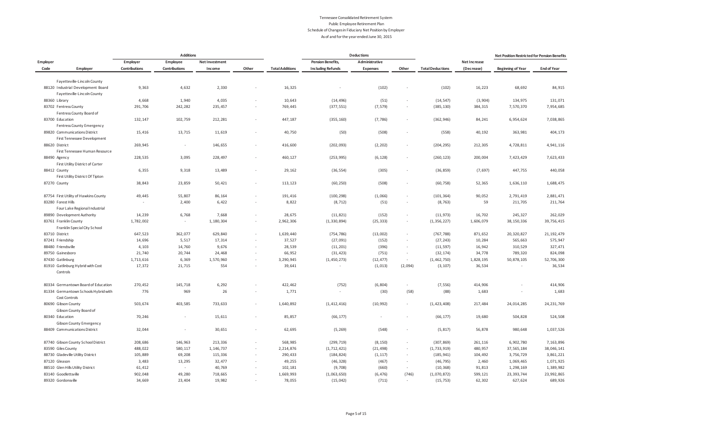|                |                                       |               | <b>Additions</b> |                       |                          |                        |                          | <b>Deductions</b> |                          |                         |              | Net Position Restricted for Pension Benefits |                    |
|----------------|---------------------------------------|---------------|------------------|-----------------------|--------------------------|------------------------|--------------------------|-------------------|--------------------------|-------------------------|--------------|----------------------------------------------|--------------------|
| Employer       |                                       | Employer      | Employee         | <b>Net Investment</b> |                          |                        | <b>Pension Benefits,</b> | Administrative    |                          |                         | Net Increase |                                              |                    |
| Code           | Employer                              | Contributions | Contributions    | Income                | Other                    | <b>Total Additions</b> | <b>Including Refunds</b> | <b>Expenses</b>   | Other                    | <b>Total Deductions</b> | (Decrease)   | <b>Beginning of Year</b>                     | <b>End of Year</b> |
|                | Fayetteville-Lincoln County           |               |                  |                       |                          |                        |                          |                   |                          |                         |              |                                              |                    |
|                | 88120 Industrial Development Board    | 9,363         | 4,632            | 2,330                 |                          | 16,325                 | ×,                       | (102)             | $\overline{\phantom{a}}$ | (102)                   | 16,223       | 68,692                                       | 84,915             |
|                | Fayetteville-Lincoln County           |               |                  |                       |                          |                        |                          |                   |                          |                         |              |                                              |                    |
| 88360 Library  |                                       | 4,668         | 1,940            | 4,035                 | $\sim$                   | 10,643                 | (14, 496)                | (51)              | $\epsilon$               | (14, 547)               | (3,904)      | 134,975                                      | 131,071            |
|                | 83702 Fentress County                 | 291,706       | 242,282          | 235,457               |                          | 769,445                | (377, 551)               | (7, 579)          | $\overline{\phantom{a}}$ | (385, 130)              | 384,315      | 7,570,370                                    | 7,954,685          |
|                | Fentress County Board of              |               |                  |                       |                          |                        |                          |                   |                          |                         |              |                                              |                    |
|                | 83700 Education                       | 132, 147      | 102,759          | 212,281               |                          | 447,187                | (355, 160)               | (7, 786)          | $\overline{\phantom{a}}$ | (362, 946)              | 84,241       | 6,954,624                                    | 7,038,865          |
|                | <b>Fentress County Emergency</b>      |               |                  |                       |                          |                        |                          |                   |                          |                         |              |                                              |                    |
|                | 89820 Communications District         | 15,416        | 13,715           | 11,619                | $\sim$                   | 40,750                 | (50)                     | (508)             | ٠                        | (558)                   | 40,192       | 363,981                                      | 404,173            |
|                | First Tennessee Development           |               |                  |                       |                          |                        |                          |                   |                          |                         |              |                                              |                    |
| 88620 District |                                       | 269,945       | $\sim$           | 146,655               | $\overline{\phantom{a}}$ | 416,600                | (202, 093)               | (2, 202)          | $\overline{\phantom{a}}$ | (204, 295)              | 212,305      | 4,728,811                                    | 4,941,116          |
|                | First Tennessee Human Resource        |               |                  |                       |                          |                        |                          |                   |                          |                         |              |                                              |                    |
| 88490 Agency   |                                       | 228,535       | 3,095            | 228,497               | $\sim$                   | 460,127                | (253, 995)               | (6, 128)          | $\overline{\phantom{a}}$ | (260, 123)              | 200,004      | 7,423,429                                    | 7,623,433          |
|                | First Utility District of Carter      |               |                  |                       |                          |                        |                          |                   |                          |                         |              |                                              |                    |
| 88412 County   |                                       | 6,355         | 9,318            | 13,489                | $\sim$                   | 29,162                 | (36, 554)                | (305)             | $\overline{\phantom{a}}$ | (36, 859)               | (7, 697)     | 447,755                                      | 440,058            |
|                | First Utility District Of Tipton      |               |                  |                       |                          |                        |                          |                   |                          |                         |              |                                              |                    |
| 87270 County   |                                       | 38,843        | 23,859           | 50,421                | $\sim$                   | 113,123                | (60, 250)                | (508)             |                          | (60, 758)               | 52,365       | 1,636,110                                    | 1,688,475          |
|                |                                       |               |                  |                       |                          |                        |                          |                   |                          |                         |              |                                              |                    |
|                | 87754 First Utility of Hawkins County | 49,445        | 55,807           | 86,164                | $\sim$                   | 191,416                | (100, 298)               | (1,066)           | $\overline{\phantom{a}}$ | (101, 364)              | 90,052       | 2,791,419                                    | 2,881,471          |
|                | 83280 Forest Hills                    | $\sim$        | 2,400            | 6,422                 | $\overline{\phantom{a}}$ | 8,822                  | (8, 712)                 | (51)              | $\overline{\phantom{a}}$ | (8, 763)                | 59           | 211,705                                      | 211,764            |
|                | Four Lake Regional Industrial         |               |                  |                       |                          |                        |                          |                   |                          |                         |              |                                              |                    |
|                | 89890 Development Authority           | 14,239        | 6,768            | 7,668                 | $\sim$                   | 28,675                 | (11, 821)                | (152)             | $\epsilon$               | (11, 973)               | 16,702       | 245,327                                      | 262,029            |
|                | 83761 Franklin County                 | 1,782,002     | $\sim$           | 1,180,304             |                          | 2,962,306              | (1, 330, 894)            | (25, 333)         | $\overline{\phantom{a}}$ | (1, 356, 227)           | 1,606,079    | 38, 150, 336                                 | 39,756,415         |
|                | Franklin Special City School          |               |                  |                       |                          |                        |                          |                   |                          |                         |              |                                              |                    |
| 83710 District |                                       | 647,523       | 362,077          | 629,840               |                          | 1,639,440              | (754, 786)               | (13,002)          | $\overline{\phantom{a}}$ | (767, 788)              | 871,652      | 20,320,827                                   | 21, 192, 479       |
|                | 87241 Friendship                      | 14,696        | 5,517            | 17,314                | $\overline{\phantom{a}}$ | 37,527                 | (27,091)                 | (152)             | $\overline{\phantom{a}}$ | (27, 243)               | 10,284       | 565,663                                      | 575,947            |
|                | 88480 Friendsville                    | 4,103         | 14,760           | 9,676                 | $\sim$                   | 28,539                 | (11, 201)                | (396)             | $\overline{\phantom{a}}$ | (11, 597)               | 16,942       | 310,529                                      | 327,471            |
|                | 89750 Gainesboro                      | 21,740        | 20,744           | 24,468                | $\overline{\phantom{a}}$ | 66,952                 | (31, 423)                | (751)             | $\sim$                   | (32, 174)               | 34,778       | 789,320                                      | 824,098            |
|                | 87430 Gatlinburg                      | 1,713,616     | 6,369            | 1,570,960             |                          | 3,290,945              | (1, 450, 273)            | (12, 477)         | $\overline{\phantom{a}}$ | (1, 462, 750)           | 1,828,195    | 50,878,105                                   | 52,706,300         |
|                | 81910 Gatlinburg Hybrid with Cost     | 17,372        | 21,715           | 554                   |                          | 39,641                 | $\sim$                   | (1, 013)          | (2,094)                  | (3, 107)                | 36,534       | $\sim$                                       | 36,534             |
|                | Controls                              |               |                  |                       |                          |                        |                          |                   |                          |                         |              |                                              |                    |
|                | 80334 Germantown Board of Education   | 270,452       | 145,718          | 6,292                 |                          | 422,462                | (752)                    | (6, 804)          | $\sim$                   | (7, 556)                | 414,906      |                                              | 414,906            |
|                | 81334 Germantown Schools Hybrid with  | 776           | 969              | 26                    |                          | 1,771                  | $\sim$                   | (30)              | (58)                     | (88)                    | 1,683        |                                              | 1,683              |
|                | Cost Controls                         |               |                  |                       |                          |                        |                          |                   |                          |                         |              |                                              |                    |
|                | 80690 Gibson County                   | 503,674       | 403,585          | 733,633               | $\sim$                   | 1,640,892              | (1, 412, 416)            | (10, 992)         | $\epsilon$               | (1, 423, 408)           | 217,484      | 24,014,285                                   | 24, 231, 769       |
|                | Gibson County Board of                |               |                  |                       |                          |                        |                          |                   |                          |                         |              |                                              |                    |
|                | 80340 Education                       | 70,246        | $\sim$           | 15,611                | $\sim$                   | 85,857                 | (66, 177)                | $\sim$            | ٠                        | (66, 177)               | 19,680       | 504,828                                      | 524,508            |
|                | <b>Gibson County Emergency</b>        |               |                  |                       |                          |                        |                          |                   |                          |                         |              |                                              |                    |
|                | 88409 Communications District         | 32,044        | $\sim$           | 30,651                | ×.                       | 62,695                 | (5, 269)                 | (548)             | $\overline{\phantom{a}}$ | (5, 817)                | 56,878       | 980,648                                      | 1,037,526          |
|                | 87740 Gibson County School District   | 208,686       | 146,963          | 213,336               |                          | 568,985                | (299, 719)               | (8, 150)          | $\overline{\phantom{a}}$ | (307, 869)              | 261,116      | 6,902,780                                    | 7,163,896          |
|                | 83590 Giles County                    | 488,022       | 580,117          | 1, 146, 737           |                          | 2,214,876              | (1, 712, 421)            | (21, 498)         | $\overline{\phantom{a}}$ | (1, 733, 919)           | 480,957      | 37,565,184                                   | 38,046,141         |
|                | 88730 Gladeville Utility District     | 105,889       | 69,208           | 115,336               | $\overline{\phantom{a}}$ | 290,433                | (184, 824)               | (1, 117)          | $\overline{\phantom{a}}$ | (185, 941)              | 104,492      | 3,756,729                                    | 3,861,221          |
| 87120 Gleason  |                                       | 3,483         | 13,295           | 32,477                | $\sim$                   | 49,255                 | (46, 328)                | (467)             | $\overline{\phantom{a}}$ | (46, 795)               | 2,460        | 1,069,465                                    | 1,071,925          |
|                | 88510 Glen Hills Utility District     | 61,412        | $\sim$           | 40,769                |                          | 102,181                | (9,708)                  | (660)             | $\sim$                   | (10, 368)               | 91,813       | 1,298,169                                    | 1,389,982          |
|                | 83140 Goodlettsville                  | 902,048       | 49,280           | 718,665               |                          | 1,669,993              | (1,063,650)              | (6, 476)          | (746)                    | (1,070,872)             | 599,121      | 23, 393, 744                                 | 23,992,865         |
|                | 89320 Gordonsville                    | 34,669        | 23,404           | 19,982                |                          | 78,055                 | (15, 042)                | (711)             | $\epsilon$               | (15, 753)               | 62,302       | 627,624                                      | 689,926            |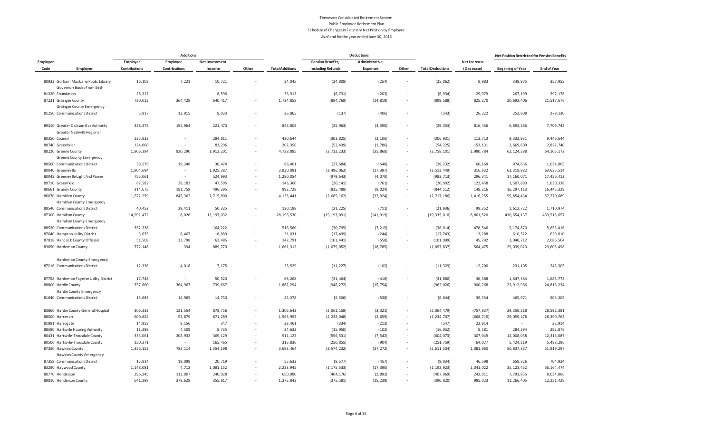|               |                                                                   |               | <b>Additions</b>     |                       |                          |                        |                          | <b>Deductions</b> |                          |                         |              | Net Position Restricted for Pension Benefits |                    |
|---------------|-------------------------------------------------------------------|---------------|----------------------|-----------------------|--------------------------|------------------------|--------------------------|-------------------|--------------------------|-------------------------|--------------|----------------------------------------------|--------------------|
| Employer      |                                                                   | Employer      | Employee             | <b>Net Investment</b> |                          |                        | <b>Pension Benefits,</b> | Administrative    |                          |                         | Net Increase |                                              |                    |
| Code          | Employer                                                          | Contributions | <b>Contributions</b> | Income                | Other                    | <b>Total Additions</b> | <b>Including Refunds</b> | <b>Expenses</b>   | Other                    | <b>Total Deductions</b> | (Decrease)   | <b>Beginning of Year</b>                     | <b>End of Year</b> |
|               | 80932 Gorham Macbane Public Library                               | 16,103        | 7,221                | 10,721                |                          | 34,045                 | (24, 808)                | (254)             |                          | (25,062)                | 8,983        | 348,975                                      | 357,958            |
|               | Governors Books From Birth                                        |               |                      |                       |                          |                        |                          |                   |                          |                         |              |                                              |                    |
|               | 81320 Foundation                                                  | 28,317        | $\sim$               | 8,596                 |                          | 36,913                 | (6, 731)                 | (203)             | ×,                       | (6, 934)                | 29,979       | 267,199                                      | 297,178            |
|               | 87231 Grainger County                                             | 720,013       | 364,428              | 640,417               |                          | 1,724,858              | (884, 769)               | (14, 819)         | $\overline{\phantom{a}}$ | (899, 588)              | 825,270      | 20,692,406                                   | 21,517,676         |
|               | <b>Grainger County Emergency</b>                                  |               |                      |                       |                          |                        |                          |                   |                          |                         |              |                                              |                    |
|               | 81250 Communications District                                     | 5,917         | 12,915               | 8,033                 | $\sim$                   | 26,865                 | (137)                    | (406)             | $\epsilon$               | (543)                   | 26,322       | 252,808                                      | 279,130            |
|               | 89310 Greater Dickson Gas Authority<br>Greater Nashville Regional | 428,375       | 195,964              | 221,470               | $\sim$                   | 845,809                | (25, 963)                | (3, 390)          | $\sim$                   | (29, 353)               | 816,456      | 6,893,286                                    | 7,709,742          |
| 80350 Council |                                                                   | 135,833       | $\sim$               | 284,811               |                          | 420,644                | (303, 825)               | (3, 106)          | $\overline{\phantom{a}}$ | (306, 931)              | 113,713      | 9,332,931                                    | 9,446,644          |
|               | 88740 Greenbrier                                                  | 124,060       |                      | 83,296                |                          | 207,356                | (52, 439)                | (1,786)           | ×,                       | (54, 225)               | 153,131      | 2,669,609                                    | 2,822,740          |
|               | 88220 Greene County<br><b>Greene County Emergency</b>             | 1,906,394     | 920,290              | 1,912,201             | $\sim$                   | 4,738,885              | (2, 722, 233)            | (35, 868)         | $\overline{\phantom{a}}$ | (2,758,101)             | 1,980,784    | 62, 124, 388                                 | 64, 105, 172       |
|               | 88560 Communications District                                     | 38,579        | 19,348               | 30,474                |                          | 88,401                 | (27, 684)                | (548)             | $\sim$                   | (28, 232)               | 60,169       | 974,636                                      | 1,034,805          |
|               | 80040 Greeneville                                                 | 1,904,694     | $\sim$               | 1,925,387             |                          | 3,830,081              | (3, 496, 062)            | (17, 387)         | $\overline{\phantom{a}}$ | (3, 513, 449)           | 316,632      | 63, 318, 882                                 | 63, 635, 514       |
|               | 80042 Greeneville Light And Power                                 | 755,061       | $\sim$               | 524,993               | $\overline{\phantom{a}}$ | 1,280,054              | (979, 643)               | (4,070)           | ×,                       | (983, 713)              | 296,341      | 17, 160, 071                                 | 17,456,412         |
|               | 89710 Greenfield                                                  | 67,582        | 28,183               | 47,595                | $\sim$                   | 143,360                | (20, 141)                | (761)             | $\overline{\phantom{a}}$ | (20, 902)               | 122,458      | 1,507,880                                    | 1,630,338          |
|               | 80661 Grundy County                                               | 314,675       | 181,758              | 496,295               | $\sim$                   | 992,728                | (835, 488)               | (9,024)           | $\overline{\phantom{a}}$ | (844, 512)              | 148,216      | 16, 297, 113                                 | 16,445,329         |
|               | 86070 Hamblen County<br>Hamblen County Emergency                  | 1,572,279     | 845,362              | 1,715,800             | $\sim$                   | 4, 133, 441            | (2,685,162)              | (32, 024)         | $\overline{\phantom{a}}$ | (2, 717, 186)           | 1,416,255    | 55,854,434                                   | 57,270,689         |
|               | 88540 Communications District                                     | 40,452        | 29,411               | 50,325                | ×.                       | 120,188                | (21, 225)                | (711)             | $\epsilon$               | (21, 936)               | 98,252       | 1,612,722                                    | 1,710,974          |
|               | 87300 Hamilton County                                             | 14,991,472    | 8,026                | 13, 197, 032          |                          | 28, 196, 530           | (19, 193, 091)           | (141, 919)        | $\sim$                   | (19, 335, 010)          | 8,861,520    | 430, 654, 137                                | 439, 515, 657      |
|               | Hamilton County Emergency                                         |               |                      |                       |                          |                        |                          |                   |                          |                         |              |                                              |                    |
|               | 88520 Communications District                                     | 352,338       | $\sim$               | 164,222               | $\sim$                   | 516,560                | (30, 799)                | (7, 215)          |                          | (38, 014)               | 478,546      | 5,174,870                                    | 5,653,416          |
|               | 87640 Hampton Utility District                                    | 3,675         | 8,467                | 18,889                |                          | 31,031                 | (17, 499)                | (244)             |                          | (17, 743)               | 13,288       | 616,522                                      | 629,810            |
|               | 87818 Hancock County Officials                                    | 51,508        | 33,798               | 62,485                | $\sim$                   | 147,791                | (101, 441)               | (558)             | $\overline{\phantom{a}}$ | (101, 999)              | 45,792       | 2,040,712                                    | 2,086,504          |
|               | 83050 Hardeman County                                             | 772,148       | 394                  | 889,770               | $\sim$                   | 1,662,312              | (1,079,052)              | (18, 785)         | $\sim$                   | (1,097,837)             | 564,475      | 29,039,023                                   | 29,603,498         |
|               | Hardeman County Emergency                                         |               |                      |                       |                          |                        |                          |                   |                          |                         |              |                                              |                    |
|               | 87216 Communications District                                     | 12,336        | 4,018                | 7,175                 |                          | 23,529                 | (11, 227)                | (102)             |                          | (11, 329)               | 12,200       | 231, 105                                     | 243,305            |
|               | 87758 Hardeman Fayette Utility District                           | 17,748        | $\sim$               | 50,520                |                          | 68,268                 | (31, 464)                | (416)             |                          | (31, 880)               | 36,388       | 1,647,384                                    | 1,683,772          |
|               | 88800 Hardin County                                               | 757,660       | 364,967              | 739,667               |                          | 1,862,294              | (946, 272)               | (15, 754)         |                          | (962, 026)              | 900,268      | 23,912,966                                   | 24,813,234         |
|               | Hardin County Emergency                                           |               |                      |                       |                          |                        |                          |                   |                          |                         |              |                                              |                    |
|               | 81640 Communications District                                     | 15,683        | 14,965               | 14,730                | $\sim$                   | 45,378                 | (5, 506)                 | (538)             | $\sim$                   | (6,044)                 | 39,334       | 465,971                                      | 505,305            |
|               | 83860 Hardin County General Hospital                              | 306,332       | 121,554              | 878,756               | $\sim$                   | 1,306,642              | (2,061,158)              | (3, 321)          | $\overline{\phantom{a}}$ | (2,064,479)             | (757, 837)   | 29,350,218                                   | 28,592,381         |
|               | 88500 Harriman                                                    | 600,824       | 93,879               | 871,289               | $\overline{\phantom{a}}$ | 1,565,992              | (2, 232, 048)            | (2, 659)          | $\sim$                   | (2, 234, 707)           | (668, 715)   | 29,059,478                                   | 28,390,763         |
|               | 81891 Harrogate                                                   | 14,958        | 8,156                | 347                   | $\sim$                   | 23,461                 | (334)                    | (213)             | $\sim$                   | (547)                   | 22,914       | $\sim$                                       | 22,914             |
|               | 88590 Hartsville Housing Authority                                | 11,389        | 4,509                | 8,735                 |                          | 24,633                 | (15, 950)                | (102)             | $\sim$                   | (16, 052)               | 8,581        | 284,294                                      | 292,875            |
|               | 80431 Hartsville-Trousdale County                                 | 333,061       | 208,932              | 369,129               |                          | 911,122                | (596, 531)               | (7, 542)          | $\overline{\phantom{a}}$ | (604, 073)              | 307,049      | 12,008,038                                   | 12,315,087         |
|               | 80500 Hartsville-Trousdale County                                 | 150,371       | $\sim$               | 165,465               | $\sim$                   | 315,836                | (250, 855)               | (904)             | $\overline{\phantom{a}}$ | (251, 759)              | 64,077       | 5,424,219                                    | 5,488,296          |
|               | 87350 Hawkins County                                              | 1,356,152     | 783,114              | 1,554,198             | $\sim$                   | 3,693,464              | (2, 574, 232)            | (37, 272)         | $\overline{\phantom{a}}$ | (2,611,504)             | 1,081,960    | 50,837,337                                   | 51,919,297         |
|               | Hawkins County Emergency                                          |               |                      |                       |                          |                        |                          |                   |                          |                         |              |                                              |                    |
|               | 87359 Communications District                                     | 15,814        | 19,099               | 20,719                |                          | 55,632                 | (8, 577)                 | (457)             | ä,                       | (9,034)                 | 46,598       | 658,326                                      | 704,924            |
|               | 83290 Haywood County                                              | 1,148,081     | 4,712                | 1,081,152             |                          | 2,233,945              | (1, 175, 533)            | (17, 390)         | $\overline{\phantom{a}}$ | (1, 192, 923)           | 1,041,022    | 35, 123, 452                                 | 36, 164, 474       |
|               | 80770 Henderson                                                   | 296,245       | 113,807              | 240,028               |                          | 650,080                | (404, 176)               | (2, 893)          |                          | (407, 069)              | 243,011      | 7,791,855                                    | 8,034,866          |
|               | 89810 Henderson County                                            | 641,398       | 378,628              | 355,817               |                          | 1,375,843              | (375, 581)               | (15, 239)         |                          | (390, 820)              | 985,023      | 11, 266, 405                                 | 12, 251, 428       |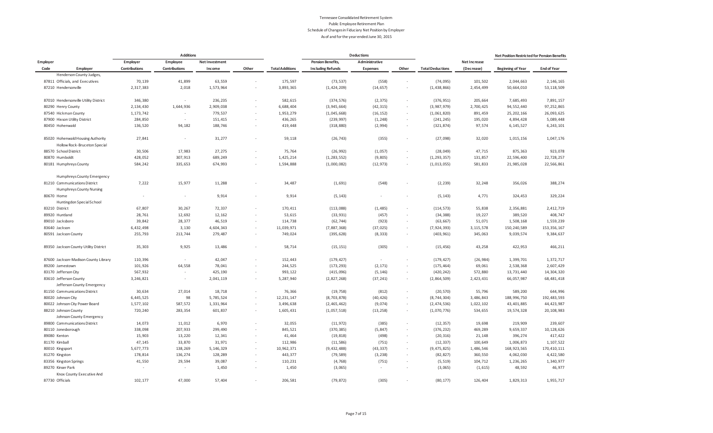|            |                                                                   |               | <b>Additions</b> |                |        |                        |                          | <b>Deductions</b> |                          |                         |              | Net Position Restricted for Pension Benefits |                    |
|------------|-------------------------------------------------------------------|---------------|------------------|----------------|--------|------------------------|--------------------------|-------------------|--------------------------|-------------------------|--------------|----------------------------------------------|--------------------|
| Employer   |                                                                   | Employer      | Employee         | Net Investment |        |                        | <b>Pension Benefits,</b> | Administrative    |                          |                         | Net Increase |                                              |                    |
| Code       | Employer                                                          | Contributions | Contributions    | Income         | Other  | <b>Total Additions</b> | <b>Including Refunds</b> | Expenses          | Other                    | <b>Total Deductions</b> | (Decrease)   | <b>Beginning of Year</b>                     | <b>End of Year</b> |
|            | Henderson County Judges,                                          |               |                  |                |        |                        |                          |                   |                          |                         |              |                                              |                    |
|            | 87811 Officials, and Executives                                   | 70,139        | 41,899           | 63,559         |        | 175,597                | (73, 537)                | (558)             | ×,                       | (74, 095)               | 101,502      | 2,044,663                                    | 2, 146, 165        |
|            | 87210 Hendersonville                                              | 2,317,383     | 2,018            | 1,573,964      |        | 3,893,365              | (1, 424, 209)            | (14, 657)         | $\overline{\phantom{a}}$ | (1, 438, 866)           | 2,454,499    | 50,664,010                                   | 53, 118, 509       |
|            | 87010 Hendersonville Utility District                             | 346,380       | $\sim$           | 236,235        | ÷.     | 582,615                | (374, 576)               | (2, 375)          | ×                        | (376, 951)              | 205,664      | 7,685,493                                    | 7,891,157          |
|            | 80290 Henry County                                                | 2, 134, 430   | 1,644,936        | 2,909,038      | $\sim$ | 6,688,404              | (3, 945, 664)            | (42, 315)         | $\epsilon$               | (3,987,979)             | 2,700,425    | 94,552,440                                   | 97, 252, 865       |
|            | 87540 Hickman County                                              | 1, 173, 742   |                  | 779,537        |        | 1,953,279              | (1,045,668)              | (16, 152)         | $\overline{\phantom{a}}$ | (1,061,820)             | 891,459      | 25, 202, 166                                 | 26,093,625         |
|            | 87900 Hixson Utility District                                     | 284,850       | $\sim$           | 151,415        | $\sim$ | 436,265                | (239, 997)               | (1, 248)          | $\overline{\phantom{a}}$ | (241, 245)              | 195,020      | 4,894,428                                    | 5,089,448          |
|            | 80450 Hohenwald                                                   | 136,520       | 94,182           | 188,746        |        | 419,448                | (318, 880)               | (2,994)           | $\overline{\phantom{a}}$ | (321, 874)              | 97,574       | 6, 145, 527                                  | 6, 243, 101        |
|            | 85020 Hohenwald Housing Authority<br>Hollow Rock-Bruceton Special | 27,841        | $\sim$           | 31,277         | $\sim$ | 59,118                 | (26, 743)                | (355)             | $\epsilon$               | (27,098)                | 32,020       | 1,015,156                                    | 1,047,176          |
|            | 88570 School District                                             | 30,506        | 17,983           | 27,275         | ×.     | 75,764                 | (26, 992)                | (1,057)           | ٠                        | (28, 049)               | 47,715       | 875,363                                      | 923,078            |
|            | 80870 Humboldt                                                    | 428,052       | 307,913          | 689,249        |        | 1,425,214              | (1, 283, 552)            | (9, 805)          | $\epsilon$               | (1, 293, 357)           | 131,857      | 22,596,400                                   | 22,728,257         |
|            | 80181 Humphreys County                                            | 584,242       | 335,653          | 674,993        |        | 1,594,888              | (1,000,082)              | (12, 973)         | $\overline{\phantom{a}}$ | (1,013,055)             | 581,833      | 21,985,028                                   | 22,566,861         |
|            | Humphreys County Emergency                                        |               |                  |                |        |                        |                          |                   |                          |                         |              |                                              |                    |
|            | 81210 Communications District                                     | 7,222         | 15,977           | 11,288         |        | 34,487                 | (1,691)                  | (548)             |                          | (2, 239)                | 32,248       | 356,026                                      | 388,274            |
|            | Humphreys County Nursing                                          |               |                  |                |        |                        |                          |                   |                          |                         |              |                                              |                    |
| 80670 Home | Huntingdon Special School                                         |               | $\sim$           | 9,914          | $\sim$ | 9,914                  | (5, 143)                 |                   |                          | (5, 143)                | 4,771        | 324,453                                      | 329,224            |
|            | 83210 District                                                    | 67,807        | 30,267           | 72,337         | ÷.     | 170,411                | (113,088)                | (1, 485)          | $\overline{\phantom{a}}$ | (114, 573)              | 55,838       | 2,356,881                                    | 2,412,719          |
|            | 89920 Huntland                                                    | 28,761        | 12,692           | 12,162         | ×.     | 53,615                 | (33, 931)                | (457)             | $\epsilon$               | (34, 388)               | 19,227       | 389,520                                      | 408,747            |
|            | 89010 Jacksboro                                                   | 39,842        | 28,377           | 46,519         | ×.     | 114,738                | (62, 744)                | (923)             | $\overline{\phantom{a}}$ | (63, 667)               | 51,071       | 1,508,168                                    | 1,559,239          |
|            | 83640 Jackson                                                     | 6,432,498     | 3,130            | 4,604,343      |        | 11,039,971             | (7, 887, 368)            | (37, 025)         | $\overline{\phantom{a}}$ | (7, 924, 393)           | 3, 115, 578  | 150, 240, 589                                | 153, 356, 167      |
|            | 80591 Jackson County                                              | 255,793       | 213,744          | 279,487        |        | 749,024                | (395, 628)               | (8, 333)          | ×,                       | (403, 961)              | 345,063      | 9,039,574                                    | 9,384,637          |
|            | 89350 Jackson County Utility District                             | 35,303        | 9,925            | 13,486         | $\sim$ | 58,714                 | (15, 151)                | (305)             | ٠                        | (15, 456)               | 43,258       | 422,953                                      | 466,211            |
|            | 87600 Jackson-Madison County Library                              | 110,396       | $\sim$           | 42,047         |        | 152,443                | (179, 427)               | $\sim$            | $\overline{\phantom{a}}$ | (179, 427)              | (26, 984)    | 1,399,701                                    | 1,372,717          |
|            | 89200 Jamestown                                                   | 101,926       | 64,558           | 78,041         | $\sim$ | 244,525                | (173, 293)               | (2, 171)          | $\overline{\phantom{a}}$ | (175, 464)              | 69,061       | 2,538,368                                    | 2,607,429          |
|            | 83170 Jefferson City                                              | 567,932       |                  | 425,190        |        | 993,122                | (415, 096)               | (5, 146)          | $\overline{\phantom{a}}$ | (420, 242)              | 572,880      | 13,731,440                                   | 14,304,320         |
|            | 83610 Jefferson County<br>Jefferson County Emergency              | 3,246,821     | $\sim$           | 2,041,119      | $\sim$ | 5,287,940              | (2, 827, 268)            | (37, 241)         | $\epsilon$               | (2,864,509)             | 2,423,431    | 66,057,987                                   | 68, 481, 418       |
|            | 81150 Communications District                                     | 30,634        | 27,014           | 18,718         | $\sim$ | 76,366                 | (19, 758)                | (812)             | ×,                       | (20, 570)               | 55,796       | 589,200                                      | 644,996            |
|            | 80020 Johnson City                                                | 6,445,525     | 98               | 5,785,524      | $\sim$ | 12, 231, 147           | (8, 703, 878)            | (40, 426)         | $\overline{\phantom{a}}$ | (8, 744, 304)           | 3,486,843    | 188,996,750                                  | 192, 483, 593      |
|            | 80022 Johnson City Power Board                                    | 1,577,102     | 587,572          | 1,331,964      | $\sim$ | 3,496,638              | (2, 465, 462)            | (9,074)           | ٠                        | (2, 474, 536)           | 1,022,102    | 43,401,885                                   | 44,423,987         |
|            | 88210 Johnson County                                              | 720,240       | 283,354          | 601,837        | $\sim$ | 1,605,431              | (1,057,518)              | (13, 258)         | $\overline{\phantom{a}}$ | (1,070,776)             | 534,655      | 19,574,328                                   | 20, 108, 983       |
|            | Johnson County Emergency                                          |               |                  |                |        |                        |                          |                   |                          |                         |              |                                              |                    |
|            | 89800 Communications District                                     | 14,073        | 11,012           | 6,970          | ×.     | 32,055                 | (11, 972)                | (385)             | $\overline{\phantom{a}}$ | (12, 357)               | 19,698       | 219,909                                      | 239,607            |
|            | 80110 Jonesborough                                                | 338,098       | 207,933          | 299,490        | ×.     | 845,521                | (370, 385)               | (5, 847)          | $\epsilon$               | (376, 232)              | 469,289      | 9,659,337                                    | 10, 128, 626       |
|            | 89080 Kenton                                                      | 15,903        | 13,220           | 12,341         | $\sim$ | 41,464                 | (19, 818)                | (498)             | $\epsilon$               | (20, 316)               | 21,148       | 396,274                                      | 417,422            |
|            | 81170 Kimball                                                     | 47,145        | 33,870           | 31,971         |        | 112,986                | (11, 586)                | (751)             | $\epsilon$               | (12, 337)               | 100,649      | 1,006,873                                    | 1,107,522          |
|            | 80010 Kingsport                                                   | 5,677,773     | 138,269          | 5, 146, 329    |        | 10,962,371             | (9,432,488)              | (43, 337)         | $\overline{\phantom{a}}$ | (9, 475, 825)           | 1,486,546    | 168, 923, 565                                | 170,410,111        |
|            | 81270 Kingston                                                    | 178,814       | 136,274          | 128,289        | $\sim$ | 443,377                | (79, 589)                | (3, 238)          | $\overline{\phantom{a}}$ | (82, 827)               | 360,550      | 4,062,030                                    | 4,422,580          |
|            | 83356 Kingston Springs                                            | 41,550        | 29,594           | 39,087         | $\sim$ | 110,231                | (4, 768)                 | (751)             | ٠                        | (5, 519)                | 104,712      | 1,236,265                                    | 1,340,977          |
|            | 89270 Kinser Park<br>Knox County Executive And                    |               | $\sim$           | 1,450          |        | 1,450                  | (3,065)                  |                   |                          | (3,065)                 | (1, 615)     | 48,592                                       | 46,977             |
|            | 87730 Officials                                                   | 102,177       | 47.000           | 57.404         |        | 206,581                | (79, 872)                | (305)             |                          | (80, 177)               | 126.404      | 1,829,313                                    | 1,955,717          |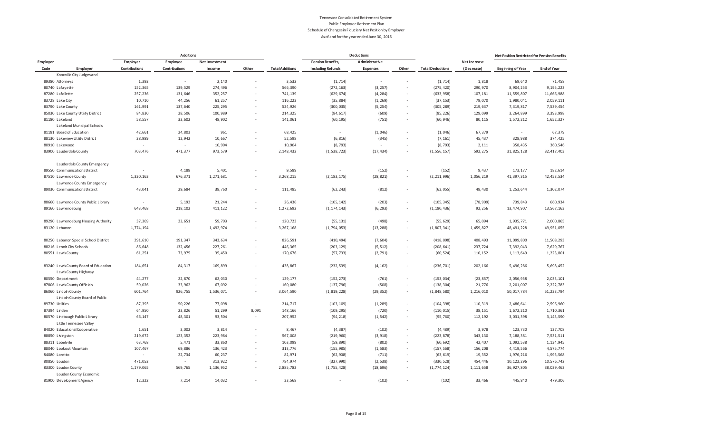|                                                           |                          | <b>Additions</b> |                |                          |                        |                          | <b>Deductions</b> |                          |                         |              | Net Position Restricted for Pension Benefits |                    |
|-----------------------------------------------------------|--------------------------|------------------|----------------|--------------------------|------------------------|--------------------------|-------------------|--------------------------|-------------------------|--------------|----------------------------------------------|--------------------|
| Employer                                                  | Employer                 | Employee         | Net Investment |                          |                        | <b>Pension Benefits,</b> | Administrative    |                          |                         | Net Increase |                                              |                    |
| Code<br>Employer                                          | Contributions            | Contributions    | Income         | Other                    | <b>Total Additions</b> | <b>Including Refunds</b> | <b>Expenses</b>   | Other                    | <b>Total Deductions</b> | (Decrease)   | <b>Beginning of Year</b>                     | <b>End of Year</b> |
| Knoxville City Judges and                                 |                          |                  |                |                          |                        |                          |                   |                          |                         |              |                                              |                    |
| 89380 Attorneys                                           | 1,392                    | $\sim$           | 2,140          |                          | 3,532                  | (1, 714)                 | $\sim$            |                          | (1, 714)                | 1,818        | 69,640                                       | 71,458             |
| 80740 Lafayette                                           | 152,365                  | 139,529          | 274,496        |                          | 566,390                | (272, 163)               | (3, 257)          | $\overline{\phantom{a}}$ | (275, 420)              | 290,970      | 8,904,253                                    | 9, 195, 223        |
| 87280 Lafollette                                          | 257,236                  | 131,646          | 352,257        | $\sim$                   | 741,139                | (629, 674)               | (4, 284)          | $\epsilon$               | (633, 958)              | 107,181      | 11,559,807                                   | 11,666,988         |
| 83728 Lake City                                           | 10,710                   | 44,256           | 61,257         |                          | 116,223                | (35, 884)                | (1, 269)          | $\epsilon$               | (37, 153)               | 79,070       | 1,980,041                                    | 2,059,111          |
| 83790 Lake County                                         | 161,991                  | 137,640          | 225,295        | $\overline{\phantom{a}}$ | 524,926                | (300, 035)               | (5, 254)          | $\overline{\phantom{a}}$ | (305, 289)              | 219,637      | 7,319,817                                    | 7,539,454          |
| 85030 Lake County Utility District                        | 84,830                   | 28,506           | 100,989        | $\sim$                   | 214,325                | (84, 617)                | (609)             | $\epsilon$               | (85, 226)               | 129,099      | 3,264,899                                    | 3,393,998          |
| 81180 Lakeland                                            | 58,557                   | 33,602           | 48,902         | ×                        | 141,061                | (60, 195)                | (751)             | $\sim$                   | (60, 946)               | 80,115       | 1,572,212                                    | 1,652,327          |
| Lakeland Municipal Schools                                |                          |                  |                |                          |                        |                          |                   |                          |                         |              |                                              |                    |
| 81181 Board of Education                                  | 42,661                   | 24,803           | 961            |                          | 68,425                 | $\sim$                   | (1,046)           | $\sim$                   | (1,046)                 | 67,379       | ٠                                            | 67,379             |
| 88130 Lakeview Utility District                           | 28,989                   | 12,942           | 10,667         | $\overline{\phantom{a}}$ | 52,598                 | (6, 816)                 | (345)             | ×,                       | (7, 161)                | 45,437       | 328,988                                      | 374,425            |
| 80910 Lakewood                                            | $\sim$                   | $\sim$           | 10,904         |                          | 10,904                 | (8, 793)                 | $\sim$            | $\sim$                   | (8, 793)                | 2,111        | 358,435                                      | 360,546            |
| 83900 Lauderdale County                                   | 703,476                  | 471,377          | 973,579        |                          | 2, 148, 432            | (1, 538, 723)            | (17, 434)         | $\sim$                   | (1, 556, 157)           | 592,275      | 31,825,128                                   | 32, 417, 403       |
| Lauderdale County Emergency                               |                          |                  |                |                          |                        |                          |                   |                          |                         |              |                                              |                    |
| 89550 Communications District                             | ×,                       | 4,188            | 5,401          |                          | 9,589                  | $\sim$                   | (152)             |                          | (152)                   | 9,437        | 173, 177                                     | 182,614            |
| 87510 Lawrence County                                     | 1,320,163                | 676,371          | 1,271,681      |                          | 3,268,215              | (2, 183, 175)            | (28, 821)         | $\sim$                   | (2, 211, 996)           | 1,056,219    | 41, 397, 315                                 | 42, 453, 534       |
| Lawrence County Emergency                                 |                          |                  |                |                          |                        |                          |                   |                          |                         |              |                                              |                    |
| 89030 Communications District                             | 43,041                   | 29,684           | 38,760         | $\overline{\phantom{a}}$ | 111,485                | (62, 243)                | (812)             | $\overline{\phantom{a}}$ | (63, 055)               | 48,430       | 1,253,644                                    | 1,302,074          |
| 88660 Lawrence County Public Library                      | $\sim$                   | 5,192            | 21,244         |                          | 26,436                 | (105, 142)               | (203)             | $\epsilon$               | (105, 345)              | (78, 909)    | 739,843                                      | 660,934            |
| 89160 Lawrenceburg                                        | 643,468                  | 218,102          | 411,122        | $\sim$                   | 1,272,692              | (1, 174, 143)            | (6, 293)          | $\sim$                   | (1, 180, 436)           | 92,256       | 13,474,907                                   | 13,567,163         |
| 89290 Lawrenceburg Housing Authority                      | 37,369                   | 23,651           | 59,703         |                          | 120,723                | (55, 131)                | (498)             |                          | (55, 629)               | 65,094       | 1,935,771                                    | 2,000,865          |
| 83120 Lebanon                                             | 1,774,194                | $\sim$           | 1,492,974      | $\overline{\phantom{a}}$ | 3, 267, 168            | (1, 794, 053)            | (13, 288)         | $\overline{\phantom{a}}$ | (1,807,341)             | 1,459,827    | 48, 491, 228                                 | 49,951,055         |
| 80250 Lebanon Special School District                     | 291,610                  | 191,347          | 343,634        | $\sim$                   | 826,591                | (410, 494)               | (7, 604)          | $\overline{\phantom{a}}$ | (418,098)               | 408,493      | 11,099,800                                   | 11,508,293         |
| 88216 Lenoir City Schools                                 | 86,648                   | 132,456          | 227,261        |                          | 446,365                | (203, 129)               | (5, 512)          | $\bar{a}$                | (208, 641)              | 237,724      | 7,392,043                                    | 7,629,767          |
| 80551 Lewis County                                        | 61,251                   | 73,975           | 35,450         |                          | 170,676                | (57, 733)                | (2, 791)          | $\overline{\phantom{a}}$ | (60, 524)               | 110,152      | 1, 113, 649                                  | 1,223,801          |
| 83240 Lewis County Board of Education                     | 184,651                  | 84,317           | 169,899        | $\sim$                   | 438,867                | (232, 539)               | (4, 162)          | $\overline{\phantom{a}}$ | (236, 701)              | 202,166      | 5,496,286                                    | 5,698,452          |
| Lewis County Highway                                      |                          |                  |                |                          |                        |                          |                   |                          |                         |              |                                              |                    |
| 80550 Department                                          | 44,277                   | 22,870           | 62,030         | $\sim$                   | 129,177                | (152, 273)               | (761)             | ä,                       | (153, 034)              | (23, 857)    | 2,056,958                                    | 2,033,101          |
| 87806 Lewis County Officials                              | 59,026                   | 33,962           | 67,092         | $\sim$                   | 160,080                | (137, 796)               | (508)             | $\overline{\phantom{a}}$ | (138, 304)              | 21,776       | 2,201,007                                    | 2,222,783          |
| 86060 Lincoln County<br>Lincoln County Board of Public    | 601,764                  | 926,755          | 1,536,071      | $\sim$                   | 3,064,590              | (1, 819, 228)            | (29, 352)         | $\sim$                   | (1, 848, 580)           | 1,216,010    | 50,017,784                                   | 51, 233, 794       |
| 89730 Utilities                                           | 87,393                   | 50,226           | 77,098         | $\sim$                   | 214,717                | (103, 109)               | (1, 289)          | $\overline{\phantom{a}}$ | (104, 398)              | 110,319      | 2,486,641                                    | 2,596,960          |
| 87394 Linden                                              | 64,950                   | 23,826           | 51,299         | 8,091                    | 148,166                | (109, 295)               | (720)             | $\overline{\phantom{a}}$ | (110, 015)              | 38,151       | 1,672,210                                    | 1,710,361          |
| 80570 Linebaugh Public Library<br>Little Tennessee Valley | 66,147                   | 48,301           | 93,504         | $\sim$                   | 207,952                | (94, 218)                | (1, 542)          | $\overline{\phantom{a}}$ | (95, 760)               | 112,192      | 3,031,398                                    | 3, 143, 590        |
| 84020 Educational Cooperative                             | 1,651                    | 3,002            | 3,814          | ä,                       | 8,467                  | (4, 387)                 | (102)             | $\overline{\phantom{a}}$ | (4, 489)                | 3,978        | 123,730                                      | 127,708            |
| 88850 Livingston                                          | 219,672                  | 123,352          | 223,984        | J.                       | 567,008                | (219, 960)               | (3, 918)          |                          | (223, 878)              | 343,130      | 7,188,381                                    | 7,531,511          |
| 88311 Lobelville                                          | 63,768                   | 5,471            | 33,860         | ×.                       | 103,099                | (59, 890)                | (802)             | $\overline{\phantom{a}}$ | (60, 692)               | 42,407       | 1,092,538                                    | 1,134,945          |
| 88040 Lookout Mountain                                    | 107,467                  | 69,886           | 136,423        | $\sim$                   | 313,776                | (155, 985)               | (1, 583)          | $\overline{\phantom{a}}$ | (157, 568)              | 156,208      | 4,419,566                                    | 4,575,774          |
| 84080 Loretto                                             | $\overline{\phantom{a}}$ | 22,734           | 60,237         | $\sim$                   | 82,971                 | (62, 908)                | (711)             | $\overline{\phantom{a}}$ | (63, 619)               | 19,352       | 1,976,216                                    | 1,995,568          |
| 80850 Loudon                                              | 471,052                  | $\sim$           | 313,922        |                          | 784,974                | (327, 990)               | (2, 538)          | $\sim$                   | (330, 528)              | 454,446      | 10, 122, 296                                 | 10,576,742         |
| 83300 Loudon County                                       | 1,179,065                | 569,765          | 1,136,952      |                          | 2,885,782              | (1, 755, 428)            | (18, 696)         | $\epsilon$               | (1, 774, 124)           | 1,111,658    | 36,927,805                                   | 38,039,463         |
| Loudon County Economic                                    |                          |                  |                |                          |                        |                          |                   |                          |                         |              |                                              |                    |
| 81900 Development Agency                                  | 12.322                   | 7.214            | 14.032         |                          | 33.568                 |                          | (102)             |                          | (102)                   | 33.466       | 445.840                                      | 479.306            |
|                                                           |                          |                  |                |                          |                        |                          |                   |                          |                         |              |                                              |                    |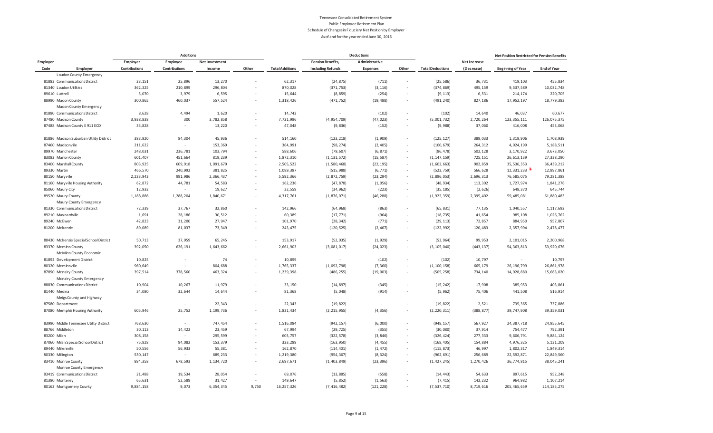|                                         |          |                      | <b>Additions</b>     |                |        |                        |                          | <b>Deductions</b> |                          |                         |                     | Net Position Restricted for Pension Benefits |                    |
|-----------------------------------------|----------|----------------------|----------------------|----------------|--------|------------------------|--------------------------|-------------------|--------------------------|-------------------------|---------------------|----------------------------------------------|--------------------|
| Employer                                |          | Employer             | Employee             | Net Investment |        |                        | <b>Pension Benefits,</b> | Administrative    |                          |                         | <b>Net Increase</b> |                                              |                    |
| Code                                    | Employer | <b>Contributions</b> | <b>Contributions</b> | Income         | Other  | <b>Total Additions</b> | <b>Including Refunds</b> | <b>Expenses</b>   | Other                    | <b>Total Deductions</b> | (Decrease)          | <b>Beginning of Year</b>                     | <b>End of Year</b> |
| Loudon County Emergency                 |          |                      |                      |                |        |                        |                          |                   |                          |                         |                     |                                              |                    |
| 81883 Communications District           |          | 23,151               | 25,896               | 13,270         |        | 62,317                 | (24, 875)                | (711)             | $\sim$                   | (25, 586)               | 36,731              | 419,103                                      | 455,834            |
| 81340 Loudon Utilities                  |          | 362,325              | 210,899              | 296,804        |        | 870,028                | (371, 753)               | (3, 116)          | $\sim$                   | (374, 869)              | 495,159             | 9,537,589                                    | 10,032,748         |
| 89610 Luttrell                          |          | 5,070                | 3,979                | 6,595          |        | 15,644                 | (8, 859)                 | (254)             | $\sim$                   | (9, 113)                | 6,531               | 214, 174                                     | 220,705            |
| 88990 Macon County                      |          | 300,865              | 460,037              | 557,524        |        | 1,318,426              | (471, 752)               | (19, 488)         | $\sim$                   | (491, 240)              | 827,186             | 17,952,197                                   | 18,779,383         |
| Macon County Emergency                  |          |                      |                      |                |        |                        |                          |                   |                          |                         |                     |                                              |                    |
| 81880 Communications District           |          | 8,628                | 4,494                | 1,620          |        | 14,742                 | $\sim$                   | (102)             | ×.                       | (102)                   | 14,640              | 46,037                                       | 60,677             |
| 87480 Madison County                    |          | 3,938,838            | 300                  | 3,782,858      |        | 7,721,996              | (4, 954, 709)            | (47, 023)         | $\epsilon$               | (5,001,732)             | 2,720,264           | 123, 355, 111                                | 126,075,375        |
| 87488 Madison County E 911 ECD          |          | 33,828               | $\sim$               | 13,220         |        | 47,048                 | (9, 836)                 | (152)             | $\overline{\phantom{a}}$ | (9,988)                 | 37,060              | 416,008                                      | 453,068            |
| 81886 Madison Suburban Utility District |          | 383,920              | 84,304               | 45,936         |        | 514,160                | (123, 218)               | (1,909)           | $\sim$                   | (125, 127)              | 389,033             | 1,319,906                                    | 1,708,939          |
| 87460 Madisonville                      |          | 211,622              | $\sim$               | 153,369        |        | 364,991                | (98, 274)                | (2, 405)          | $\overline{\phantom{a}}$ | (100, 679)              | 264,312             | 4,924,199                                    | 5, 188, 511        |
| 89970 Manchester                        |          | 248,031              | 236,781              | 103,794        |        | 588,606                | (79, 607)                | (6, 871)          | $\epsilon$               | (86, 478)               | 502,128             | 3,170,922                                    | 3,673,050          |
| 83082 Marion County                     |          | 601,407              | 451,664              | 819,239        | $\sim$ | 1,872,310              | (1, 131, 572)            | (15, 587)         | $\sim$                   | (1, 147, 159)           | 725,151             | 26, 613, 139                                 | 27,338,290         |
| 83400 Marshall County                   |          | 803,925              | 609,918              | 1,091,679      |        | 2,505,522              | (1, 580, 468)            | (22, 195)         | $\overline{\phantom{a}}$ | (1,602,663)             | 902,859             | 35, 536, 353                                 | 36,439,212         |
| 89330 Martin                            |          | 466,570              | 240,992              | 381,825        |        | 1,089,387              | (515, 988)               | (6, 771)          | $\sim$                   | (522, 759)              | 566,628             | 12,331,233                                   | 12,897,861         |
| 80150 Maryville                         |          | 2,233,943            | 991,986              | 2,366,437      | $\sim$ | 5,592,366              | (2,872,759)              | (23, 294)         | $\sim$                   | (2,896,053)             | 2,696,313           | 76,585,075                                   | 79, 281, 388       |
| 81160 Maryville Housing Authority       |          | 62,872               | 44,781               | 54,583         |        | 162,236                | (47, 878)                | (1,056)           | $\sim$                   | (48, 934)               | 113,302             | 1,727,974                                    | 1,841,276          |
| 85060 Maury City                        |          | 12,932               | $\sim$               | 19,627         | ×.     | 32,559                 | (34, 962)                | (223)             | $\sim$                   | (35, 185)               | (2,626)             | 648,370                                      | 645,744            |
| 89520 Maury County                      |          | 1,188,886            | 1,288,204            | 1,840,671      | $\sim$ | 4,317,761              | (1, 876, 071)            | (46, 288)         | $\sim$                   | (1, 922, 359)           | 2,395,402           | 59,485,081                                   | 61,880,483         |
| Maury County Emergency                  |          |                      |                      |                |        |                        |                          |                   |                          |                         |                     |                                              |                    |
| 81330 Communications District           |          | 72,339               | 37,767               | 32,860         | ×.     | 142,966                | (64, 968)                | (863)             | $\epsilon$               | (65, 831)               | 77,135              | 1,040,557                                    | 1, 117, 692        |
| 89210 Maynardville                      |          | 1,691                | 28,186               | 30,512         |        | 60,389                 | (17, 771)                | (964)             | $\sim$                   | (18, 735)               | 41,654              | 985,108                                      | 1,026,762          |
| 89240 McEwen                            |          | 42,823               | 31,200               | 27,947         | ×.     | 101,970                | (28, 342)                | (771)             | $\overline{\phantom{a}}$ | (29, 113)               | 72,857              | 884,950                                      | 957,807            |
| 81200 Mckenzie                          |          | 89,089               | 81,037               | 73,349         |        | 243,475                | (120, 525)               | (2, 467)          | $\sim$                   | (122, 992)              | 120,483             | 2,357,994                                    | 2,478,477          |
|                                         |          |                      |                      |                |        |                        |                          |                   |                          |                         |                     |                                              |                    |
| 88430 Mckenzie Special School District  |          | 50,713               | 37,959               | 65,245         |        | 153,917                | (52, 035)                | (1, 929)          | $\overline{\phantom{a}}$ | (53, 964)               | 99,953              | 2,101,015                                    | 2,200,968          |
| 83370 Mcminn County                     |          | 392,050              | 626,191              | 1,643,662      |        | 2,661,903              | (3,081,017)              | (24, 023)         | $\sim$                   | (3, 105, 040)           | (443, 137)          | 54, 363, 813                                 | 53,920,676         |
| McMinn County Economic                  |          |                      |                      |                |        |                        |                          |                   |                          |                         |                     |                                              |                    |
| 81892 Development District              |          | 10,825               | $\sim$               | 74             | $\sim$ | 10,899                 | $\sim$                   | (102)             | $\epsilon$               | (102)                   | 10,797              |                                              | 10,797             |
| 80320 Mcminnville                       |          | 960,649              | $\sim$               | 804,688        | $\sim$ | 1,765,337              | (1,092,798)              | (7, 360)          | $\epsilon$               | (1, 100, 158)           | 665,179             | 26, 196, 799                                 | 26, 861, 978       |
| 87890 Mcnairy County                    |          | 397,514              | 378,560              | 463,324        |        | 1,239,398              | (486, 255)               | (19,003)          | $\overline{\phantom{a}}$ | (505, 258)              | 734,140             | 14,928,880                                   | 15,663,020         |
| Mcnairy County Emergency                |          |                      |                      |                |        |                        |                          |                   |                          |                         |                     |                                              |                    |
| 88830 Communications District           |          | 10,904               | 10,267               | 11,979         | $\sim$ | 33,150                 | (14, 897)                | (345)             | $\overline{\phantom{a}}$ | (15, 242)               | 17,908              | 385,953                                      | 403,861            |
| 81440 Medina                            |          | 34,080               | 32,644               | 14,644         |        | 81,368                 | (5,048)                  | (914)             | $\overline{\phantom{a}}$ | (5, 962)                | 75,406              | 441,508                                      | 516,914            |
| Meigs County and Highway                |          |                      |                      |                |        |                        |                          |                   |                          |                         |                     |                                              |                    |
| 87580 Department                        |          |                      | $\sim$               | 22,343         |        | 22,343                 | (19, 822)                |                   |                          | (19, 822)               | 2,521               | 735,365                                      | 737,886            |
| 87080 Memphis Housing Authority         |          | 605,946              | 25,752               | 1,199,736      |        | 1,831,434              | (2, 215, 955)            | (4, 356)          |                          | (2, 220, 311)           | (388, 877)          | 39,747,908                                   | 39, 359, 031       |
| 83990 Middle Tennessee Utility District |          | 768,630              | $\sim$               | 747,454        |        | 1,516,084              | (942, 157)               | (6,000)           | $\sim$                   | (948, 157)              | 567,927             | 24, 387, 718                                 | 24, 955, 645       |
| 88766 Middleton                         |          | 30,113               | 14,422               | 23,459         | ×.     | 67,994                 | (29, 725)                | (355)             | $\overline{\phantom{a}}$ | (30,080)                | 37,914              | 754,477                                      | 792,391            |
| 83200 Milan                             |          | 308,158              | $\sim$               | 295,599        | ×.     | 603,757                | (322, 578)               | (3, 846)          | $\epsilon$               | (326, 424)              | 277,333             | 9,606,791                                    | 9,884,124          |
| 87060 Milan Special School District     |          | 75,828               | 94,082               | 153,379        |        | 323,289                | (163, 950)               | (4, 455)          | $\epsilon$               | (168, 405)              | 154,884             | 4,976,325                                    | 5, 131, 209        |
| 89440 Millersville                      |          | 50,556               | 56,933               | 55,381         | $\sim$ | 162,870                | (114, 401)               | (1, 472)          | $\overline{\phantom{a}}$ | (115, 873)              | 46,997              | 1,802,317                                    | 1,849,314          |
| 80330 Millington                        |          | 530,147              | $\sim$               | 689,233        | $\sim$ | 1,219,380              | (954, 367)               | (8, 324)          | $\epsilon$               | (962, 691)              | 256,689             | 22,592,871                                   | 22,849,560         |
| 83410 Monroe County                     |          | 884,358              | 678,593              | 1,134,720      | $\sim$ | 2,697,671              | (1, 403, 849)            | (23, 396)         | $\sim$                   | (1, 427, 245)           | 1,270,426           | 36,774,815                                   | 38,045,241         |
| Monroe County Emergency                 |          |                      |                      |                |        |                        |                          |                   |                          |                         |                     |                                              |                    |
| 83419 Communications District           |          | 21,488               | 19,534               | 28,054         |        | 69,076                 | (13, 885)                | (558)             |                          | (14, 443)               | 54,633              | 897,615                                      | 952,248            |
| 81380 Monterey                          |          | 65,631               | 52,589               | 31,427         |        | 149,647                | (5, 852)                 | (1, 563)          |                          | (7, 415)                | 142,232             | 964,982                                      | 1,107,214          |
| 80162 Montgomery County                 |          | 9,884,158            | 9,073                | 6,354,345      | 9,750  | 16, 257, 326           | (7, 416, 482)            | (121, 228)        |                          | (7, 537, 710)           | 8,719,616           | 205, 465, 659                                | 214, 185, 275      |
|                                         |          |                      |                      |                |        |                        |                          |                   |                          |                         |                     |                                              |                    |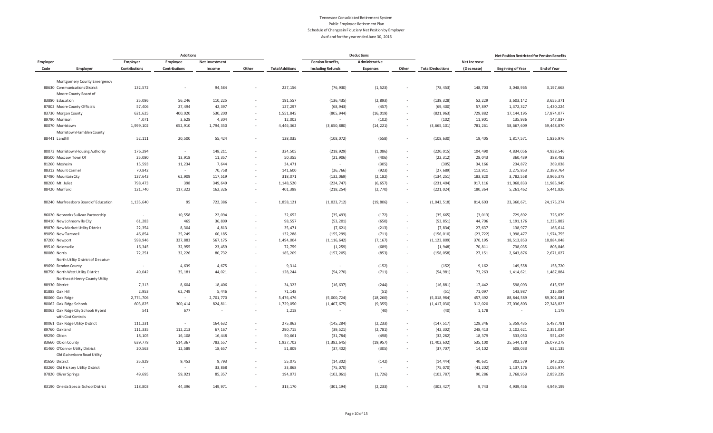|          |                                                           |               | <b>Additions</b> |                |        |                        |                          | <b>Deductions</b> |                          |                         |              | Net Position Restricted for Pension Benefits |                    |
|----------|-----------------------------------------------------------|---------------|------------------|----------------|--------|------------------------|--------------------------|-------------------|--------------------------|-------------------------|--------------|----------------------------------------------|--------------------|
| Employer |                                                           | Employer      | Employee         | Net Investment |        |                        | <b>Pension Benefits,</b> | Administrative    |                          |                         | Net Increase |                                              |                    |
| Code     | Employer                                                  | Contributions | Contributions    | Income         | Other  | <b>Total Additions</b> | <b>Including Refunds</b> | <b>Expenses</b>   | Other                    | <b>Total Deductions</b> | (Decrease)   | <b>Beginning of Year</b>                     | <b>End of Year</b> |
|          | Montgomery County Emergency                               |               |                  |                |        |                        |                          |                   |                          |                         |              |                                              |                    |
|          | 88630 Communications District                             | 132,572       | $\sim$           | 94,584         |        | 227,156                | (76, 930)                | (1, 523)          | $\sim$                   | (78, 453)               | 148,703      | 3,048,965                                    | 3, 197, 668        |
|          | Moore County Board of                                     |               |                  |                |        |                        |                          |                   |                          |                         |              |                                              |                    |
|          | 83880 Education                                           | 25,086        | 56,246           | 110,225        | ×.     | 191,557                | (136, 435)               | (2, 893)          | $\sim$                   | (139, 328)              | 52,229       | 3,603,142                                    | 3,655,371          |
|          | 87802 Moore County Officials                              | 57,406        | 27,494           | 42,397         |        | 127,297                | (68, 943)                | (457)             |                          | (69, 400)               | 57,897       | 1,372,327                                    | 1,430,224          |
|          | 83730 Morgan County                                       | 621,625       | 400,020          | 530,200        |        | 1,551,845              | (805, 944)               | (16, 019)         | $\epsilon$               | (821, 963)              | 729,882      | 17, 144, 195                                 | 17,874,077         |
|          | 89790 Morrison                                            | 4,071         | 3,628            | 4,304          |        | 12,003                 | $\sim$                   | (102)             |                          | (102)                   | 11,901       | 135,936                                      | 147,837            |
|          | 80070 Morristown                                          | 1,999,102     | 652,910          | 1,794,350      |        | 4,446,362              | (3,650,880)              | (14, 221)         | $\sim$                   | (3,665,101)             | 781,261      | 58,667,609                                   | 59,448,870         |
|          | Morristown Hamblen County                                 |               |                  |                |        |                        |                          |                   |                          |                         |              |                                              |                    |
|          | 88441 Landfill                                            | 52,111        | 20,500           | 55,424         | ×.     | 128,035                | (108, 072)               | (558)             | ٠                        | (108, 630)              | 19,405       | 1,817,571                                    | 1,836,976          |
|          |                                                           |               |                  |                |        |                        |                          |                   |                          |                         |              |                                              |                    |
|          | 80073 Morristown Housing Authority                        | 176,294       | $\sim$           | 148,211        | ×.     | 324,505                | (218, 929)               | (1,086)           | $\overline{\phantom{a}}$ | (220, 015)              | 104,490      | 4,834,056                                    | 4,938,546          |
|          | 89500 Moscow Town Of                                      | 25,080        | 13,918           | 11,357         | $\sim$ | 50,355                 | (21, 906)                | (406)             | ٠                        | (22, 312)               | 28,043       | 360,439                                      | 388,482            |
|          | 81260 Mosheim                                             | 15,593        | 11,234           | 7,644          |        | 34,471                 | $\sim$                   | (305)             |                          | (305)                   | 34,166       | 234,872                                      | 269,038            |
|          | 88312 Mount Carmel                                        | 70,842        | $\sim$           | 70,758         |        | 141,600                | (26, 766)                | (923)             |                          | (27, 689)               | 113,911      | 2,275,853                                    | 2,389,764          |
|          | 87490 Mountain City                                       | 137,643       | 62,909           | 117,519        | $\sim$ | 318,071                | (132, 069)               | (2, 182)          | $\sim$                   | (134, 251)              | 183,820      | 3,782,558                                    | 3,966,378          |
|          | 88200 Mt. Juliet                                          | 798,473       | 398              | 349,649        |        | 1,148,520              | (224, 747)               | (6, 657)          |                          | (231, 404)              | 917,116      | 11,068,833                                   | 11,985,949         |
|          | 88420 Munford                                             | 121,740       | 117,322          | 162,326        |        | 401,388                | (218, 254)               | (2,770)           | $\overline{\phantom{a}}$ | (221, 024)              | 180,364      | 5,261,462                                    | 5,441,826          |
|          | 80240 Murfreesboro Board of Education                     | 1,135,640     | 95               | 722,386        | $\sim$ | 1,858,121              | (1,023,712)              | (19, 806)         |                          | (1,043,518)             | 814,603      | 23, 360, 671                                 | 24, 175, 274       |
|          | 86020 Networks Sullivan Partnership                       | $\sim$        | 10,558           | 22,094         |        | 32,652                 | (35, 493)                | (172)             | $\overline{\phantom{a}}$ | (35, 665)               | (3, 013)     | 729,892                                      | 726,879            |
|          | 80410 New Johnsonville City                               | 61,283        | 465              | 36,809         | $\sim$ | 98,557                 | (53, 201)                | (650)             | ٠                        | (53, 851)               | 44,706       | 1, 191, 176                                  | 1,235,882          |
|          | 89870 New Market Utility District                         | 22,354        | 8,304            | 4,813          |        | 35,471                 | (7,621)                  | (213)             | $\overline{\phantom{a}}$ | (7, 834)                | 27,637       | 138,977                                      | 166,614            |
|          | 89050 New Tazewell                                        | 46,854        | 25,249           | 60,185         |        | 132,288                | (155, 299)               | (711)             |                          | (156, 010)              | (23, 722)    | 1,998,477                                    | 1,974,755          |
|          | 87200 Newport                                             | 598,946       | 327,883          | 567,175        | $\sim$ | 1,494,004              | (1, 116, 642)            | (7, 167)          | $\sim$                   | (1, 123, 809)           | 370,195      | 18,513,853                                   | 18,884,048         |
|          | 89510 Nolensville                                         | 16,345        | 32,955           | 23,459         |        | 72,759                 | (1, 259)                 | (689)             | ٠                        | (1, 948)                | 70,811       | 738,035                                      | 808,846            |
|          | 80080 Norris                                              | 72,251        | 32,226           | 80,732         |        | 185,209                | (157, 205)               | (853)             |                          | (158, 058)              | 27,151       | 2,643,876                                    | 2,671,027          |
|          | North Utility District of Decatur-                        |               |                  |                |        |                        |                          |                   |                          |                         |              |                                              |                    |
|          | 89690 Bendon County                                       | $\sim$        | 4,639            | 4,675          |        | 9,314                  | $\sim$                   | (152)             |                          | (152)                   | 9,162        | 149,558                                      | 158,720            |
|          | 88750 North West Utility District                         | 49,042        | 35,181           | 44,021         |        | 128,244                | (54, 270)                | (711)             |                          | (54, 981)               | 73,263       | 1,414,621                                    | 1,487,884          |
|          | Northeast Henry County Utility                            |               |                  |                |        |                        |                          |                   |                          |                         |              |                                              |                    |
|          | 88930 District                                            | 7,313         | 8,604            | 18,406         |        | 34,323                 | (16, 637)                | (244)             | ä,                       | (16, 881)               | 17,442       | 598,093                                      | 615,535            |
|          | 81888 Oak Hill                                            | 2,953         | 62,749           | 5,446          |        | 71,148                 |                          | (51)              |                          | (51)                    | 71,097       | 143,987                                      | 215,084            |
|          | 80060 Oak Ridge                                           | 2,774,706     | $\sim$           | 2,701,770      | ×.     | 5,476,476              | (5,000,724)              | (18, 260)         | ٠                        | (5,018,984)             | 457,492      | 88, 844, 589                                 | 89, 302, 081       |
|          | 80062 Oak Ridge Schools                                   | 603,825       | 300,414          | 824,811        |        | 1,729,050              | (1, 407, 675)            | (9, 355)          | $\overline{\phantom{a}}$ | (1, 417, 030)           | 312,020      | 27,036,803                                   | 27,348,823         |
|          | 80063 Oak Ridge City Schools Hybrid<br>with Cost Controls | 541           | 677              | $\sim$         |        | 1,218                  | $\sim$                   | (40)              | ٠                        | (40)                    | 1,178        | $\epsilon$                                   | 1,178              |
|          | 80061 Oak Ridge Utility District                          | 111,231       | $\sim$           | 164,632        |        | 275,863                | (145, 284)               | (2, 233)          |                          | (147, 517)              | 128,346      | 5,359,435                                    | 5,487,781          |
|          | 89760 Oakland                                             | 111,335       | 112,213          | 67,167         | $\sim$ | 290,715                | (39, 521)                | (2,781)           | ٠                        | (42, 302)               | 248,413      | 2, 102, 621                                  | 2,351,034          |
|          | 89250 Obion                                               | 18,105        | 16,108           | 16,448         |        | 50,661                 | (31, 784)                | (498)             | $\overline{\phantom{a}}$ | (32, 282)               | 18,379       | 533,050                                      | 551,429            |
|          | 83660 Obion County                                        | 639,778       | 514,367          | 783,557        | ٠      | 1,937,702              | (1, 382, 645)            | (19, 957)         |                          | (1,402,602)             | 535,100      | 25, 544, 178                                 | 26,079,278         |
|          | 81460 O'Connor Utility District                           | 20,563        | 12,589           | 18,657         |        | 51,809                 | (37, 402)                | (305)             | $\sim$                   | (37, 707)               | 14,102       | 608,033                                      | 622,135            |
|          | Old Gainesboro Road Utility                               |               |                  |                |        |                        |                          |                   |                          |                         |              |                                              |                    |
|          | 81650 District                                            | 35,829        | 9,453            | 9,793          |        | 55,075                 | (14, 302)                | (142)             | ٠                        | (14, 444)               | 40,631       | 302,579                                      | 343,210            |
|          | 83260 Old Hickory Utility District                        |               | ×                | 33,868         |        | 33,868                 | (75, 070)                |                   |                          | (75,070)                | (41, 202)    | 1, 137, 176                                  | 1,095,974          |
|          | 87820 Oliver Springs                                      | 49,695        | 59,021           | 85,357         |        | 194,073                | (102, 061)               | (1, 726)          |                          | (103, 787)              | 90,286       | 2,768,953                                    | 2,859,239          |
|          | 83190 Oneida Special School District                      | 118,803       | 44,396           | 149,971        |        | 313,170                | (301, 194)               | (2, 233)          |                          | (303, 427)              | 9,743        | 4,939,456                                    | 4,949,199          |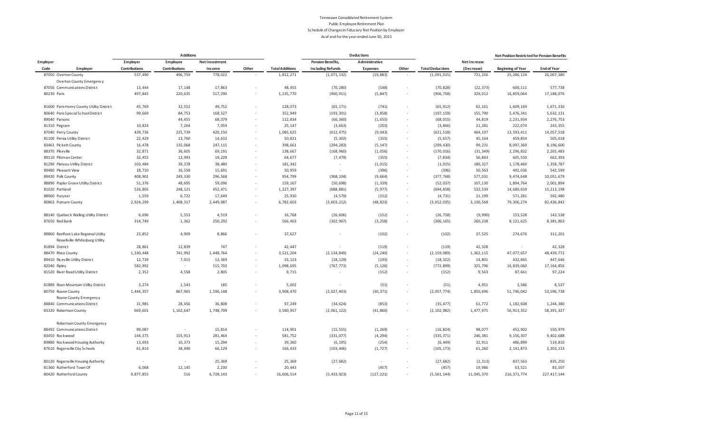|                 |                                                                         |               | <b>Additions</b> |                |        |                        |                          | <b>Deductions</b> |                          |                         |              | Net Position Restricted for Pension Benefits |                    |
|-----------------|-------------------------------------------------------------------------|---------------|------------------|----------------|--------|------------------------|--------------------------|-------------------|--------------------------|-------------------------|--------------|----------------------------------------------|--------------------|
| Employer        |                                                                         | Employer      | Employee         | Net Investment |        |                        | <b>Pension Benefits,</b> | Administrative    |                          |                         | Net Increase |                                              |                    |
| Code            | Employer                                                                | Contributions | Contributions    | Income         | Other  | <b>Total Additions</b> | <b>Including Refunds</b> | Expenses          | Other                    | <b>Total Deductions</b> | (Decrease)   | <b>Beginning of Year</b>                     | <b>End of Year</b> |
|                 | 87050 Overton County                                                    | 537,490       | 496,759          | 778,022        |        | 1,812,271              | (1,071,132)              | (19, 883)         |                          | (1,091,015)             | 721,256      | 25, 286, 124                                 | 26,007,380         |
|                 | Overton County Emergency                                                |               |                  |                |        |                        |                          |                   |                          |                         |              |                                              |                    |
|                 | 87056 Communications District                                           | 13,444        | 17,148           | 17,863         |        | 48,455                 | (70, 280)                | (548)             |                          | (70, 828)               | (22, 373)    | 600,111                                      | 577,738            |
| 80230 Paris     |                                                                         | 497,845       | 220,635          | 517,290        |        | 1,235,770              | (900, 911)               | (5, 847)          | $\overline{\phantom{a}}$ | (906, 758)              | 329,012      | 16,859,064                                   | 17,188,076         |
|                 | 81600 Paris Henry County Utility District                               | 45,769        | 32,552           | 49,752         | $\sim$ | 128,073                | (65, 171)                | (741)             | $\epsilon$               | (65, 912)               | 62,161       | 1,609,169                                    | 1,671,330          |
|                 | 80640 Paris Special School District                                     | 99,669        | 84,753           | 168,527        | $\sim$ | 352,949                | (193, 301)               | (3, 858)          | ٠                        | (197, 159)              | 155,790      | 5,476,341                                    | 5,632,131          |
| 89040 Parsons   |                                                                         | $\sim$        | 44,455           | 68,379         | $\sim$ | 112,834                | (66, 360)                | (1, 655)          | $\sim$                   | (68, 015)               | 44,819       | 2,231,934                                    | 2,276,753          |
| 81310 Pegram    |                                                                         | 10,824        | 7,264            | 7,059          |        | 25,147                 | (3, 663)                 | (203)             | $\sim$                   | (3,866)                 | 21,281       | 222,074                                      | 243,355            |
|                 | 87040 Perry County                                                      | 439,736       | 225,739          | 420,150        | $\sim$ | 1,085,625              | (612, 475)               | (9,043)           | $\sim$                   | (621, 518)              | 464,107      | 13,593,411                                   | 14,057,518         |
|                 | 81100 Persia Utility District                                           | 22,429        | 13,760           | 14,632         |        | 50,821                 | (5, 302)                 | (355)             | $\sim$                   | (5, 657)                | 45,164       | 459,854                                      | 505,018            |
|                 | 83461 Pickett County                                                    | 16,478        | 135,068          | 247,115        | $\sim$ | 398,661                | (294, 283)               | (5, 147)          | $\overline{\phantom{a}}$ | (299, 430)              | 99,231       | 8,097,369                                    | 8,196,600          |
| 88370 Pikeville |                                                                         | 32,871        | 36,605           | 69,191         |        | 138,667                | (168, 960)               | (1,056)           | $\overline{\phantom{a}}$ | (170, 016)              | (31, 349)    | 2,296,832                                    | 2, 265, 483        |
|                 | 89110 Pittman Center                                                    | 32,455        | 12,993           | 19,229         | ×.     | 64,677                 | (7, 479)                 | (355)             | $\overline{\phantom{a}}$ | (7, 834)                | 56,843       | 605,550                                      | 662,393            |
|                 | 81290 Plateau Utility District                                          | 103,484       | 39,378           | 38,480         |        | 181,342                | $\sim$                   | (1, 015)          | $\overline{\phantom{a}}$ | (1, 015)                | 180,327      | 1,178,460                                    | 1,358,787          |
|                 | 89480 Pleasant View                                                     | 18,710        | 16,558           | 15,691         | $\sim$ | 50,959                 | $\sim$                   | (396)             | ٠                        | (396)                   | 50,563       | 492,036                                      | 542,599            |
|                 | 89430 Polk County                                                       | 408,901       | 249,330          | 296,568        |        | 954,799                | (368, 104)               | (9,664)           | $\overline{\phantom{a}}$ | (377, 768)              | 577,031      | 9,474,648                                    | 10,051,679         |
|                 | 88890 Poplar Grove Utility District                                     | 51,376        | 48,695           | 59,096         | $\sim$ | 159,167                | (50, 698)                | (1, 339)          | $\sim$                   | (52, 037)               | 107,130      | 1,894,764                                    | 2,001,894          |
| 81020 Portland  |                                                                         | 526,805       | 248,121          | 452,471        |        | 1,227,397              | (688, 881)               | (5, 977)          | $\sim$                   | (694, 858)              | 532,539      | 14,680,659                                   | 15, 213, 198       |
| 88960 Puryear   |                                                                         | 1,559         | 6,722            | 17,649         | $\sim$ | 25,930                 | (4, 579)                 | (152)             | $\overline{\phantom{a}}$ | (4, 731)                | 21,199       | 571,281                                      | 592,480            |
|                 | 80863 Putnam County                                                     | 2,924,299     | 1,408,317        | 2,449,987      |        | 6,782,603              | (3,603,212)              | (48, 823)         | $\epsilon$               | (3,652,035)             | 3, 130, 568  | 79,306,274                                   | 82,436,842         |
|                 | 88140 Quebeck Walling Utility District                                  | 6,696         | 5,553            | 4,519          |        | 16,768                 | (26, 606)                | (152)             |                          | (26, 758)               | (9,990)      | 153,528                                      | 143,538            |
|                 | 87650 Red Bank                                                          | 314,749       | 1,362            | 250,292        |        | 566,403                | (302, 907)               | (3, 258)          |                          | (306, 165)              | 260,238      | 8,121,625                                    | 8,381,863          |
|                 | 89860 Reelfoot Lake Regional Utility<br>Ressellville-Whitesburg Utility | 23,852        | 4,909            | 8,866          | ×.     | 37,627                 |                          | (102)             | ٠                        | (102)                   | 37,525       | 274,676                                      | 312,201            |
| 81894 District  |                                                                         | 28,861        | 12,839           | 747            | $\sim$ | 42,447                 | $\sim$                   | (119)             | ٠                        | (119)                   | 42,328       | $\sim$                                       | 42,328             |
|                 | 88470 Rhea County                                                       | 1,330,448     | 741,992          | 1,448,764      | $\sim$ | 3,521,204              | (2, 134, 849)            | (24, 240)         | $\overline{\phantom{a}}$ | (2, 159, 089)           | 1,362,115    | 47,077,657                                   | 48, 439, 772       |
|                 | 89410 Riceville Utility District                                        | 12,739        | 7,015            | 13,369         |        | 33,123                 | (18, 129)                | (193)             | $\sim$                   | (18, 322)               | 14,801       | 432,845                                      | 447,646            |
| 82040 Ripley    |                                                                         | 582,992       | $\sim$           | 515,703        | ×.     | 1,098,695              | (767, 773)               | (5, 126)          | $\overline{\phantom{a}}$ | (772, 899)              | 325,796      | 16,839,060                                   | 17, 164, 856       |
|                 | 81520 River Road Utility District                                       | 2,352         | 4,558            | 2,805          |        | 9,715                  |                          | (152)             | $\overline{\phantom{a}}$ | (152)                   | 9,563        | 87,661                                       | 97,224             |
|                 | 81889 Roan Mountain Utility District                                    | 3,274         | 1,543            | 185            |        | 5,002                  | $\sim$                   | (51)              |                          | (51)                    | 4,951        | 3,586                                        | 8,537              |
|                 | 80750 Roane County                                                      | 1,444,357     | 867,965          | 1,596,148      |        | 3,908,470              | (2,027,403)              | (30, 371)         | $\overline{\phantom{a}}$ | (2,057,774)             | 1,850,696    | 51,746,042                                   | 53, 596, 738       |
|                 | Roane County Emergency                                                  |               |                  |                |        |                        |                          |                   |                          |                         |              |                                              |                    |
|                 | 88840 Communications District                                           | 31,985        | 28,456           | 36,808         | ×      | 97,249                 | (34, 624)                | (853)             | ٠                        | (35, 477)               | 61,772       | 1,182,608                                    | 1,244,380          |
|                 | 83320 Robertson County                                                  | 669,601       | 1, 162, 647      | 1,748,709      |        | 3,580,957              | (2,061,122)              | (41, 860)         | $\epsilon$               | (2, 102, 982)           | 1,477,975    | 56,913,352                                   | 58,391,327         |
|                 | Robertson County Emergency                                              |               |                  |                |        |                        |                          |                   |                          |                         |              |                                              |                    |
|                 | 88492 Communications District                                           | 99,087        | $\sim$           | 15,814         |        | 114,901                | (15, 555)                | (1, 269)          |                          | (16, 824)               | 98,077       | 452,902                                      | 550,979            |
|                 | 83450 Rockwood                                                          | 144,375       | 155,913          | 281,464        |        | 581,752                | (331, 077)               | (4, 294)          | $\overline{\phantom{a}}$ | (335, 371)              | 246,381      | 9,156,307                                    | 9,402,688          |
|                 | 89880 Rockwood Housing Authority                                        | 13,693        | 10,373           | 15,294         |        | 39,360                 | (6, 195)                 | (254)             |                          | (6, 449)                | 32,911       | 486,899                                      | 519,810            |
|                 | 87610 Rogersville City Schools                                          | 61,814        | 38,490           | 66,129         |        | 166,433                | (103, 446)               | (1, 727)          | $\overline{\phantom{a}}$ | (105, 173)              | 61,260       | 2, 141, 873                                  | 2, 203, 133        |
|                 | 80120 Rogersville Housing Authority                                     | $\sim$        | $\sim$           | 25,369         |        | 25,369                 | (27, 682)                | $\sim$            |                          | (27, 682)               | (2, 313)     | 837,563                                      | 835,250            |
|                 | 81360 Rutherford Town Of                                                | 6,068         | 12,145           | 2,230          |        | 20,443                 |                          | (457)             |                          | (457)                   | 19,986       | 63,521                                       | 83,507             |
|                 | 80420 Rutherford County                                                 | 9.877.855     | 516              | 6.728.143      |        | 16.606.514             | (5.433.923)              | (127.221)         |                          | (5.561.144)             | 11.045.370   | 216.371.774                                  | 227.417.144        |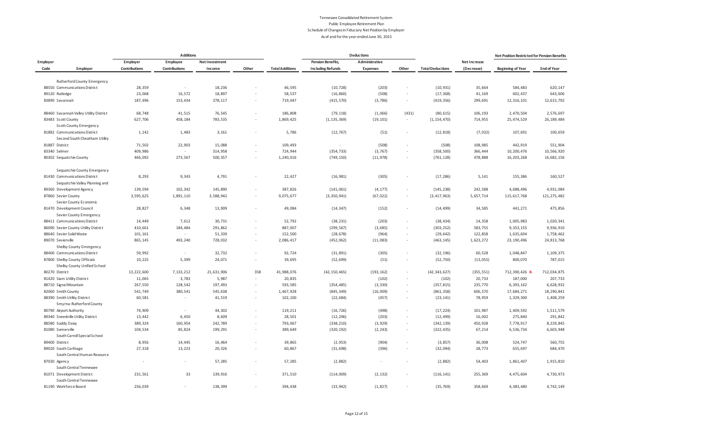|                   |                                                              |                          | <b>Additions</b> |                       |        |                        |                          | <b>Deductions</b> |                          |                         |              | Net Position Restricted for Pension Benefits |                    |
|-------------------|--------------------------------------------------------------|--------------------------|------------------|-----------------------|--------|------------------------|--------------------------|-------------------|--------------------------|-------------------------|--------------|----------------------------------------------|--------------------|
| Employer          |                                                              | Employer                 | Employee         | <b>Net Investment</b> |        |                        | <b>Pension Benefits,</b> | Administrative    |                          |                         | Net Increase |                                              |                    |
| Code              | Employer                                                     | Contributions            | Contributions    | Income                | Other  | <b>Total Additions</b> | <b>Including Refunds</b> | <b>Expenses</b>   | Other                    | <b>Total Deductions</b> | (Decrease)   | <b>Beginning of Year</b>                     | <b>End of Year</b> |
|                   |                                                              |                          |                  |                       |        |                        |                          |                   |                          |                         |              |                                              |                    |
|                   | Rutherford County Emergency<br>88550 Communications District | 28,359                   | $\sim$           | 18,236                |        | 46,595                 | (10, 728)                | (203)             |                          | (10, 931)               | 35,664       | 584,483                                      | 620,147            |
| 89120 Rutledge    |                                                              | 23,068                   | 16,572           | 18,897                |        | 58,537                 | (16, 860)                | (508)             | $\overline{\phantom{a}}$ | (17, 368)               | 41,169       | 602,437                                      | 643,606            |
| 83890 Savannah    |                                                              | 187,496                  | 153,434          | 378,117               |        | 719,047                | (415, 570)               | (3,786)           | $\sim$                   | (419, 356)              | 299,691      | 12, 316, 101                                 | 12,615,792         |
|                   |                                                              |                          |                  |                       |        |                        |                          |                   |                          |                         |              |                                              |                    |
|                   | 88460 Savannah Valley Utility District                       | 68,748                   | 41,515           | 76,545                |        | 186,808                | (79, 118)                | (1,066)           | (431)                    | (80, 615)               | 106,193      | 2,470,504                                    | 2,576,697          |
|                   | 83483 Scott County                                           | 627,706                  | 458,184          | 783,535               |        | 1,869,425              | (1, 135, 369)            | (19, 101)         | $\sim$                   | (1, 154, 470)           | 714,955      | 25,474,529                                   | 26, 189, 484       |
|                   | <b>Scott County Emergency</b>                                |                          |                  |                       |        |                        |                          |                   |                          |                         |              |                                              |                    |
|                   | 81882 Communications District                                | 1,142                    | 1,483            | 3,161                 |        | 5,786                  | (12, 767)                | (51)              | $\overline{\phantom{a}}$ | (12, 818)               | (7,032)      | 107,691                                      | 100,659            |
|                   | Second South Cheatham Utility                                |                          |                  |                       |        |                        |                          |                   |                          |                         |              |                                              |                    |
| 81887 District    |                                                              | 71,502                   | 22,903           | 15,088                |        | 109,493                | $\sim$                   | (508)             | $\epsilon$               | (508)                   | 108,985      | 442,919                                      | 551,904            |
| 83340 Selmer      |                                                              | 409,986                  |                  | 314,958               |        | 724,944                | (354, 733)               | (3, 767)          | $\overline{\phantom{a}}$ | (358, 500)              | 366,444      | 10,200,476                                   | 10,566,920         |
|                   | 80302 Sequatchie County                                      | 466,092                  | 273,567          | 500,357               |        | 1,240,016              | (749, 150)               | (11, 978)         | $\overline{\phantom{a}}$ | (761, 128)              | 478,888      | 16, 203, 268                                 | 16,682,156         |
|                   |                                                              |                          |                  |                       |        |                        |                          |                   |                          |                         |              |                                              |                    |
|                   | Sequatchie County Emergency                                  |                          |                  |                       |        |                        |                          |                   |                          |                         |              |                                              |                    |
|                   | 81430 Communications District                                | 8,293                    | 9,343            | 4,791                 |        | 22,427                 | (16, 981)                | (305)             | $\overline{\phantom{a}}$ | (17, 286)               | 5,141        | 155,386                                      | 160,527            |
|                   | Sequatchie Valley Planning and                               |                          |                  |                       |        |                        |                          |                   |                          |                         |              |                                              |                    |
|                   | 89360 Development Agency                                     | 139,594                  | 102,342          | 145,890               |        | 387,826                | (141, 061)               | (4, 177)          | $\overline{\phantom{a}}$ | (145, 238)              | 242,588      | 4,688,496                                    | 4,931,084          |
|                   | 87860 Sevier County                                          | 3,595,625                | 1,891,110        | 3,588,942             | $\sim$ | 9,075,677              | (3, 350, 941)            | (67, 022)         | $\sim$                   | (3, 417, 963)           | 5,657,714    | 115, 617, 768                                | 121, 275, 482      |
|                   | Sevier County Economic                                       |                          |                  |                       |        |                        |                          |                   |                          |                         |              |                                              |                    |
|                   | 81470 Development Council                                    | 28,827                   | 6,348            | 13,909                |        | 49,084                 | (14, 347)                | (152)             | $\sim$                   | (14, 499)               | 34,585       | 441,271                                      | 475,856            |
|                   | Sevier County Emergency                                      |                          |                  |                       |        |                        |                          |                   |                          |                         |              |                                              |                    |
|                   | 88411 Communications District                                | 14,449                   | 7,612            | 30,731                |        | 52,792                 | (38, 231)                | (203)             | $\sim$                   | (38, 434)               | 14,358       | 1,005,983                                    | 1,020,341          |
|                   | 86090 Sevier County Utility District                         | 410,661                  | 184,484          | 291,862               |        | 887,007                | (299, 567)               | (3,685)           | $\overline{\phantom{a}}$ | (303, 252)              | 583,755      | 9,353,155                                    | 9,936,910          |
|                   | 88640 Sevier Solid Waste                                     | 101, 161                 |                  | 51,339                |        | 152,500                | (28, 678)                | (964)             |                          | (29, 642)               | 122,858      | 1,635,604                                    | 1,758,462          |
| 89070 Sevierville |                                                              | 865,145                  | 493,240          | 728,032               |        | 2,086,417              | (452, 062)               | (11,083)          | $\overline{\phantom{a}}$ | (463, 145)              | 1,623,272    | 23, 190, 496                                 | 24, 813, 768       |
|                   | Shelby County Emergency                                      |                          |                  |                       |        |                        |                          |                   |                          |                         |              |                                              |                    |
|                   | 88400 Communications District                                | 59,992                   | $\sim$           | 32,732                |        | 92,724                 | (31, 891)                | (305)             | $\overline{\phantom{a}}$ | (32, 196)               | 60,528       | 1,048,847                                    | 1,109,375          |
|                   | 87800 Shelby County Officials                                | 10,225                   | 5,399            | 24,071                | $\sim$ | 39,695                 | (52, 699)                | (51)              | $\sim$                   | (52, 750)               | (13, 055)    | 800,070                                      | 787,015            |
|                   | Shelby County Unified School                                 |                          |                  |                       |        |                        |                          |                   |                          |                         |              |                                              |                    |
| 80270 District    |                                                              | 13, 222, 600             | 7, 133, 212      | 21,631,906            | 358    | 41,988,076             | (42, 150, 465)           | (193, 162)        | $\overline{\phantom{a}}$ | (42, 343, 627)          | (355, 551)   | 712,390,426                                  | 712,034,875        |
|                   | 81420 Siam Utility District                                  | 11,065                   | 3,783            | 5,987                 |        | 20,835                 |                          | (102)             | $\overline{\phantom{a}}$ | (102)                   | 20,733       | 187,000                                      | 207,733            |
|                   | 88710 Signal Mountain                                        | 267,550                  | 128,542          | 197,493               |        | 593,585                | (354, 485)               | (3, 330)          | $\sim$                   | (357, 815)              | 235,770      | 6,393,162                                    | 6,628,932          |
|                   | 82060 Smith County                                           | 541,749                  | 380,541          | 545,638               |        | 1,467,928              | (845, 349)               | (16,009)          | $\sim$                   | (861, 358)              | 606,570      | 17,684,271                                   | 18,290,841         |
|                   | 88390 Smith Utility District                                 | 60,581                   | $\sim$           | 41,519                |        | 102,100                | (22, 684)                | (457)             | $\overline{\phantom{a}}$ | (23, 141)               | 78,959       | 1,329,300                                    | 1,408,259          |
|                   | Smyrna-Rutherford County                                     |                          |                  |                       |        |                        |                          |                   |                          |                         |              |                                              |                    |
|                   | 80790 Airport Authority                                      | 74,909                   |                  | 44,302                |        | 119,211                | (16, 726)                | (498)             | $\sim$                   | (17, 224)               | 101,987      | 1,409,592                                    | 1,511,579          |
|                   | 89340 Sneedville Utility District                            | 13,442                   | 6,450            | 8,609                 |        | 28,501                 | (12, 296)                | (203)             | $\sim$                   | (12, 499)               | 16,002       | 275,840                                      | 291,842            |
|                   | 88580 Soddy Daisy                                            | 389,324                  | 160,954          | 242,789               |        | 793,067                | (338, 210)               | (3, 929)          | $\overline{\phantom{a}}$ | (342, 139)              | 450,928      | 7,778,917                                    | 8,229,845          |
|                   | 81080 Somerville                                             | 104,534                  | 85,824           | 199,291               |        | 389,649                | (320, 192)               | (2, 243)          | $\sim$                   | (322, 435)              | 67,214       | 6,536,734                                    | 6,603,948          |
|                   | South Carroll Special School                                 |                          |                  |                       |        |                        |                          |                   |                          |                         |              |                                              |                    |
| 89400 District    |                                                              | 8,956                    | 14,445           | 16,464                |        | 39,865                 | (2, 953)                 | (904)             |                          | (3, 857)                | 36,008       | 524,747                                      | 560,755            |
|                   | 89020 South Carthage                                         | 27,318                   | 13,223           | 20,326                |        | 60,867                 | (31, 698)                | (396)             | $\sim$                   | (32,094)                | 28,773       | 655,697                                      | 684,470            |
|                   | South Central Human Resource                                 |                          |                  |                       |        |                        |                          |                   |                          |                         |              |                                              |                    |
| 87030 Agency      |                                                              | $\overline{\phantom{a}}$ |                  | 57,285                |        | 57,285                 | (2,882)                  | $\sim$            |                          | (2,882)                 | 54,403       | 1,861,407                                    | 1,915,810          |
|                   | South Central Tennessee                                      |                          |                  |                       |        |                        |                          |                   |                          |                         |              |                                              |                    |
|                   | 81071 Development District                                   | 231,561                  | 33               | 139,916               |        | 371,510                | (114,009)                | (2, 132)          |                          | (116, 141)              | 255,369      | 4,475,604                                    | 4,730,973          |
|                   | South Central Tennessee                                      |                          |                  |                       |        |                        |                          |                   |                          |                         |              |                                              |                    |
|                   | 81190 Workforce Board                                        | 256,039                  |                  | 138,399               |        | 394,438                | (33, 942)                | (1, 827)          | $\overline{\phantom{a}}$ | (35, 769)               | 358,669      | 4,383,480                                    | 4,742,149          |
|                   |                                                              |                          |                  |                       |        |                        |                          |                   |                          |                         |              |                                              |                    |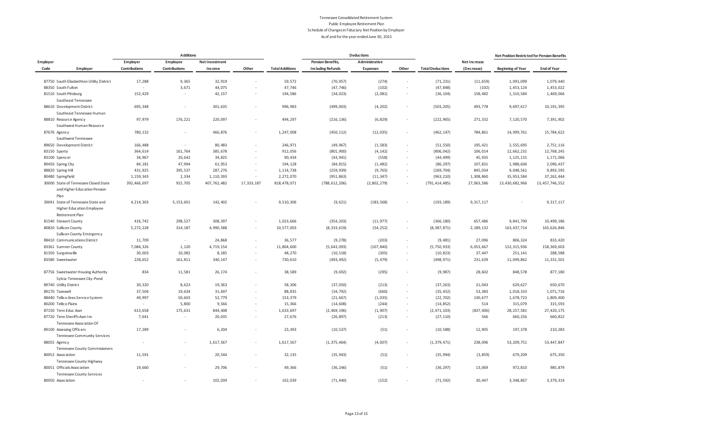|          |                                                                               | <b>Additions</b> |                          |                |                          |                        | <b>Deductions</b>        |                 |                          |                         |              | Net Position Restricted for Pension Benefits |                    |
|----------|-------------------------------------------------------------------------------|------------------|--------------------------|----------------|--------------------------|------------------------|--------------------------|-----------------|--------------------------|-------------------------|--------------|----------------------------------------------|--------------------|
| Employer |                                                                               | Employer         | Employee                 | Net Investment |                          |                        | <b>Pension Benefits,</b> | Administrative  |                          |                         | Net Increase |                                              |                    |
| Code     | Employer                                                                      | Contributions    | Contributions            | Income         | Other                    | <b>Total Additions</b> | <b>Including Refunds</b> | <b>Expenses</b> | Other                    | <b>Total Deductions</b> | (Decrease)   | <b>Beginning of Year</b>                     | <b>End of Year</b> |
|          |                                                                               |                  |                          |                |                          |                        |                          |                 |                          |                         |              |                                              |                    |
|          | 87750 South Elizabethton Utility District                                     | 17,288           | 9,365                    | 32,919         |                          | 59,572                 | (70, 957)                | (274)           | ٠                        | (71, 231)               | (11, 659)    | 1,091,099                                    | 1,079,440          |
|          | 88350 South Fulton                                                            |                  | 3,671                    | 44,075         |                          | 47,746                 | (47, 746)                | (102)           |                          | (47, 848)               | (102)        | 1,453,124                                    | 1,453,022          |
|          | 81510 South Pittsburg                                                         | 152,429          | $\sim$                   | 42,157         |                          | 194,586                | (34, 023)                | (2,081)         |                          | (36, 104)               | 158,482      | 1,310,584                                    | 1,469,066          |
|          | Southeast Tennessee                                                           |                  |                          |                |                          |                        |                          |                 |                          |                         |              |                                              |                    |
|          | 88610 Development District                                                    | 695,348          | $\overline{\phantom{a}}$ | 301,635        |                          | 996,983                | (499, 003)               | (4, 202)        | $\overline{\phantom{a}}$ | (503, 205)              | 493,778      | 9,697,617                                    | 10, 191, 395       |
|          | Southeast Tennessee Human                                                     |                  |                          |                |                          |                        |                          |                 |                          |                         |              |                                              |                    |
|          | 88810 Resource Agency                                                         | 97,979           | 176,221                  | 220,097        |                          | 494,297                | (216, 136)               | (6, 829)        |                          | (222, 965)              | 271,332      | 7,120,570                                    | 7,391,902          |
|          | Southwest Human Resource                                                      |                  |                          |                |                          |                        |                          |                 |                          |                         |              |                                              |                    |
|          | 87676 Agency<br>Southwest Tennessee                                           | 780,132          | $\overline{\phantom{a}}$ | 466,876        | $\sim$                   | 1,247,008              | (450, 112)               | (12, 035)       | ٠                        | (462, 147)              | 784,861      | 14,999,761                                   | 15,784,622         |
|          | 89650 Development District                                                    | 166,488          | $\sim$                   | 80,483         |                          | 246,971                | (49, 967)                | (1, 583)        | $\overline{\phantom{a}}$ | (51, 550)               | 195,421      | 2,555,695                                    | 2,751,116          |
|          | 83150 Sparta                                                                  | 364,614          | 161,764                  | 385,678        | ×.                       | 912,056                | (801, 900)               | (4, 142)        | $\overline{\phantom{a}}$ | (806, 042)              | 106,014      | 12,662,231                                   | 12,768,245         |
|          | 83100 Spencer                                                                 | 34,967           | 20,642                   | 34,825         |                          | 90,434                 | (43, 941)                | (558)           | $\overline{\phantom{a}}$ | (44, 499)               | 45,935       | 1, 125, 131                                  | 1,171,066          |
|          | 89450 Spring City                                                             | 84,181           | 47,994                   | 61,953         | $\sim$                   | 194,128                | (84, 815)                | (1, 482)        | $\sim$                   | (86, 297)               | 107,831      | 1,988,606                                    | 2,096,437          |
|          | 88820 Spring Hill                                                             | 431,925          | 395,537                  | 287,276        |                          | 1,114,738              | (259, 939)               | (9, 765)        | $\sim$                   | (269, 704)              | 845,034      | 9,048,561                                    | 9,893,595          |
|          |                                                                               |                  | 2,334                    |                | $\sim$                   | 2,272,070              |                          |                 |                          | (963, 210)              |              | 35, 953, 584                                 | 37, 262, 444       |
|          | 80480 Springfield                                                             | 1,159,343        |                          | 1,110,393      |                          |                        | (951, 863)               | (11, 347)       |                          |                         | 1,308,860    |                                              |                    |
|          | 30000 State of Tennessee Closed State<br>and Higher Education Pension<br>Plan | 392,466,697      | 915,705                  | 407,762,482    | 17, 333, 187             | 818,478,071            | (788, 612, 206)          | (2,802,279)     | $\epsilon$               | (791, 414, 485)         | 27,063,586   | 13,430,682,966                               | 13, 457, 746, 552  |
|          | 30041 State of Tennessee State and                                            | 4,214,303        | 5, 153, 601              | 142,402        |                          | 9,510,306              | (9,621)                  | (183, 568)      |                          | (193, 189)              | 9,317,117    |                                              | 9, 317, 117        |
|          | <b>Higher Education Employee</b><br>Retirement Plan                           |                  |                          |                |                          |                        |                          |                 |                          |                         |              |                                              |                    |
|          | 81540 Stewart County                                                          | 416,742          | 298,527                  | 308,397        |                          | 1,023,666              | (354, 203)               | (11, 977)       |                          | (366, 180)              | 657,486      | 9,841,700                                    | 10,499,186         |
|          | 80820 Sullivan County                                                         | 5,272,228        | 314,187                  | 4,990,588      | $\overline{\phantom{a}}$ | 10,577,003             | (8, 333, 619)            | (54, 252)       | $\overline{\phantom{a}}$ | (8, 387, 871)           | 2, 189, 132  | 163, 437, 714                                | 165,626,846        |
|          | Sullivan County Emergency                                                     |                  |                          |                |                          |                        |                          |                 |                          |                         |              |                                              |                    |
|          | 88410 Communications District                                                 | 11,709           | $\sim$                   | 24,868         | $\sim$                   | 36,577                 | (9, 278)                 | (203)           | ٠                        | (9,481)                 | 27,096       | 806,324                                      | 833,420            |
|          | 83361 Sumner County                                                           | 7,084,326        | 1,120                    | 4,719,154      | $\sim$                   | 11,804,600             | (5,643,093)              | (107, 840)      | ٠                        | (5,750,933)             | 6,053,667    | 152, 315, 936                                | 158, 369, 603      |
|          | 81350 Surgoinsville                                                           | 30,003           | 10,082                   | 8,185          | $\overline{\phantom{a}}$ | 48,270                 | (10, 518)                | (305)           | $\sim$                   | (10, 823)               | 37,447       | 251,141                                      | 288,588            |
|          | 83580 Sweetwater                                                              | 228,652          | 161,811                  | 340,147        |                          | 730,610                | (493, 492)               | (5, 479)        | $\overline{\phantom{a}}$ | (498, 971)              | 231,639      | 11,099,862                                   | 11,331,501         |
|          | 87756 Sweetwater Housing Authority                                            | 834              | 11,581                   | 26,174         |                          | 38,589                 | (9,692)                  | (295)           | ٠                        | (9,987)                 | 28,602       | 848,578                                      | 877,180            |
|          | Sylvia-Tennessee City-Pond                                                    |                  |                          |                |                          |                        |                          |                 |                          |                         |              |                                              |                    |
|          | 89740 Utility District                                                        | 30,320           | 8,623                    | 19,363         |                          | 58,306                 | (37,050)                 | (213)           | ٠                        | (37, 263)               | 21,043       | 629,627                                      | 650,670            |
|          | 89170 Tazewell                                                                | 37,504           | 19,634                   | 31,697         |                          | 88,835                 | (34, 792)                | (660)           |                          | (35, 452)               | 53,383       | 1,018,333                                    | 1,071,716          |
|          | 88440 Tellico Area Service System                                             | 49,997           | 50,603                   | 52,779         | $\sim$                   | 153,379                | (21, 667)                | (1,035)         | $\sim$                   | (22, 702)               | 130,677      | 1,678,723                                    | 1,809,400          |
|          | 80200 Tellico Plains                                                          | $\sim$           | 5,800                    | 9,566          |                          | 15,366                 | (14, 608)                | (244)           | $\sim$                   | (14, 852)               | 514          | 315,079                                      | 315,593            |
|          | 87150 Tenn Educ Assn                                                          | 613,658          | 175,631                  | 844,408        | $\sim$                   | 1,633,697              | (2,469,196)              | (1, 907)        | $\sim$                   | (2, 471, 103)           | (837, 406)   | 28, 257, 581                                 | 27,420,175         |
|          | 87720 Tenn Sheriffs Assn Inc<br>Tennessee Association Of                      | 7,641            | $\sim$                   | 20,035         | $\sim$                   | 27,676                 | (26, 897)                | (213)           | $\overline{\phantom{a}}$ | (27, 110)               | 566          | 660,256                                      | 660,822            |
|          | 89100 Assessing Officers                                                      | 17,289           | $\sim$                   | 6,204          | $\sim$                   | 23,493                 | (10, 537)                | (51)            | ٠                        | (10, 588)               | 12,905       | 197,378                                      | 210,283            |
|          | Tennessee Community Services                                                  |                  |                          |                |                          |                        |                          |                 |                          |                         |              |                                              |                    |
|          | 88055 Agency                                                                  |                  |                          | 1,617,567      |                          | 1,617,567              | (1, 375, 464)            | (4,007)         |                          | (1, 379, 471)           | 238,096      | 53, 209, 751                                 | 53,447,847         |
|          | Tennessee County Commissioners                                                |                  |                          |                |                          |                        |                          |                 |                          |                         |              |                                              |                    |
|          | 80052 Association                                                             | 11,591           |                          | 20,544         | $\sim$                   | 32,135                 | (35, 943)                | (51)            | $\overline{\phantom{a}}$ | (35, 994)               | (3, 859)     | 679,209                                      | 675,350            |
|          | Tennessee County Highway                                                      |                  |                          |                |                          |                        |                          |                 |                          |                         |              |                                              |                    |
|          | 80051 Officials Association                                                   | 19,660           |                          | 29,706         |                          | 49,366                 | (36, 246)                | (51)            |                          | (36, 297)               | 13,069       | 972,810                                      | 985,879            |
|          | <b>Tennessee County Services</b>                                              |                  |                          |                |                          |                        |                          |                 |                          |                         |              |                                              |                    |
|          | 80050 Association                                                             |                  |                          | 102,039        |                          | 102,039                | (71, 440)                | (152)           |                          | (71, 592)               | 30.447       | 3,348,867                                    | 3,379,314          |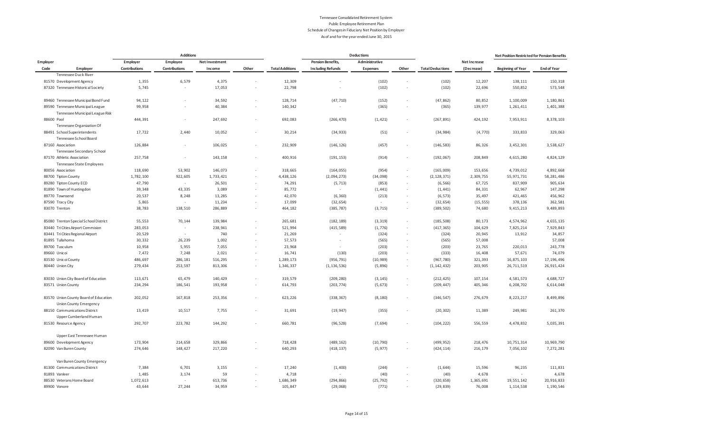|                                                                        |                      | <b>Additions</b>     |                |                          |                        |                          | <b>Deductions</b> |                          |                         | Net Position Restricted for Pension Benefits |                          |                    |
|------------------------------------------------------------------------|----------------------|----------------------|----------------|--------------------------|------------------------|--------------------------|-------------------|--------------------------|-------------------------|----------------------------------------------|--------------------------|--------------------|
| Employer                                                               | Employer             | Employee             | Net Investment |                          |                        | <b>Pension Benefits,</b> | Administrative    |                          |                         | Net Increase                                 |                          |                    |
| Code<br>Employer                                                       | <b>Contributions</b> | <b>Contributions</b> | Income         | Other                    | <b>Total Additions</b> | <b>Including Refunds</b> | Expenses          | Other                    | <b>Total Deductions</b> | (Decrease)                                   | <b>Beginning of Year</b> | <b>End of Year</b> |
| Tennessee Duck River                                                   |                      |                      |                |                          |                        |                          |                   |                          |                         |                                              |                          |                    |
| 81570 Development Agency                                               | 1,355                | 6,579                | 4,375          |                          | 12,309                 |                          | (102)             | ٠                        | (102)                   | 12,207                                       | 138,111                  | 150,318            |
| 87320 Tennessee Historical Society                                     | 5,745                | $\sim$               | 17,053         |                          | 22,798                 | $\overline{\phantom{a}}$ | (102)             | $\overline{\phantom{a}}$ | (102)                   | 22,696                                       | 550,852                  | 573,548            |
| 89460 Tennessee Municipal Bond Fund                                    | 94,122               | $\sim$               | 34,592         | ×.                       | 128,714                | (47, 710)                | (152)             | $\overline{\phantom{a}}$ | (47, 862)               | 80,852                                       | 1,100,009                | 1,180,861          |
| 89590 Tennessee Municipal League                                       | 99,958               |                      | 40,384         | $\sim$                   | 140,342                | $\sim$                   | (365)             | ٠                        | (365)                   | 139,977                                      | 1,261,411                | 1,401,388          |
| Tennessee Municipal League Risk                                        |                      |                      |                |                          |                        |                          |                   |                          |                         |                                              |                          |                    |
| 88600 Pool                                                             | 444,391              | $\sim$               | 247,692        | ×.                       | 692,083                | (266, 470)               | (1, 421)          | $\overline{\phantom{a}}$ | (267, 891)              | 424,192                                      | 7,953,911                | 8,378,103          |
| Tennessee Organization Of                                              |                      |                      |                |                          |                        |                          |                   |                          |                         |                                              |                          |                    |
| 88491 School Superintendents<br>Tennessee School Board                 | 17,722               | 2,440                | 10,052         |                          | 30,214                 | (34, 933)                | (51)              |                          | (34, 984)               | (4, 770)                                     | 333,833                  | 329,063            |
| 87160 Association                                                      | 126,884              | $\sim$               | 106,025        | $\overline{\phantom{a}}$ | 232,909                | (146, 126)               | (457)             | $\overline{\phantom{a}}$ | (146, 583)              | 86,326                                       | 3,452,301                | 3,538,627          |
| Tennessee Secondary School                                             |                      |                      |                |                          |                        |                          |                   |                          |                         |                                              |                          |                    |
| 87170 Athletic Association                                             | 257,758              | $\sim$               | 143,158        |                          | 400,916                | (191, 153)               | (914)             | $\sim$                   | (192, 067)              | 208,849                                      | 4,615,280                | 4,824,129          |
| Tennessee State Employees                                              |                      |                      |                |                          |                        |                          |                   |                          |                         |                                              |                          |                    |
| 80056 Association                                                      | 118,690              | 53,902               | 146,073        | ×                        | 318,665                | (164, 055)               | (954)             | ٠                        | (165,009)               | 153,656                                      | 4,739,012                | 4,892,668          |
| 88700 Tipton County                                                    | 1,782,100            | 922,605              | 1,733,421      | $\sim$                   | 4,438,126              | (2,094,273)              | (34,098)          | $\overline{\phantom{a}}$ | (2, 128, 371)           | 2,309,755                                    | 55,971,731               | 58, 281, 486       |
| 89280 Tipton County ECD                                                | 47,790               | $\sim$               | 26,501         |                          | 74,291                 | (5, 713)                 | (853)             | $\overline{\phantom{a}}$ | (6, 566)                | 67,725                                       | 837,909                  | 905,634            |
| 81890 Town of Huntingdon                                               | 39,348               | 43,335               | 3,089          | $\sim$                   | 85,772                 | $\sim$                   | (1, 441)          | $\overline{\phantom{a}}$ | (1, 441)                | 84,331                                       | 62,967                   | 147,298            |
| 89770 Townsend                                                         | 20,537               | 8,248                | 13,285         |                          | 42,070                 | (6, 360)                 | (213)             | $\epsilon$               | (6, 573)                | 35,497                                       | 421,465                  | 456,962            |
| 87590 Tracy City                                                       | 5,865                | $\sim$               | 11,234         |                          | 17,099                 | (32, 654)                | $\sim$            | ×,                       | (32, 654)               | (15, 555)                                    | 378,136                  | 362,581            |
| 83070 Trenton                                                          | 38,783               | 138,510              | 286,889        |                          | 464,182                | (385, 787)               | (3, 715)          | $\overline{\phantom{a}}$ | (389, 502)              | 74,680                                       | 9,415,213                | 9,489,893          |
| 85080 Trenton Special School District                                  | 55,553               | 70,144               | 139,984        | $\sim$                   | 265,681                | (182, 189)               | (3, 319)          | $\overline{\phantom{a}}$ | (185, 508)              | 80,173                                       | 4,574,962                | 4,655,135          |
| 83440 Tri Cities Airport Commision                                     | 283,053              | $\sim$               | 238,941        |                          | 521,994                | (415, 589)               | (1, 776)          | $\sim$                   | (417, 365)              | 104,629                                      | 7,825,214                | 7,929,843          |
| 83441 Tri Cities Regional Airport                                      | 20,529               | $\sim$               | 740            | $\overline{\phantom{a}}$ | 21,269                 | $\sim$                   | (324)             | $\overline{\phantom{a}}$ | (324)                   | 20,945                                       | 13,912                   | 34,857             |
| 81895 Tullahoma                                                        | 30,332               | 26,239               | 1,002          | $\sim$                   | 57,573                 | $\sim$                   | (565)             | $\overline{\phantom{a}}$ | (565)                   | 57,008                                       | $\sim$                   | 57,008             |
| 89700 Tusculum                                                         | 10,958               | 5,955                | 7,055          | $\sim$                   | 23,968                 |                          | (203)             | ٠                        | (203)                   | 23,765                                       | 220,013                  | 243,778            |
| 89660 Unicoi                                                           | 7,472                | 7,248                | 2,021          | $\sim$                   | 16,741                 | (130)                    | (203)             | $\overline{\phantom{a}}$ | (333)                   | 16,408                                       | 57,671                   | 74,079             |
| 83530 Unicoi County                                                    | 486,697              | 286,181              | 516,295        | ×                        | 1,289,173              | (956, 791)               | (10, 989)         | $\epsilon$               | (967, 780)              | 321,393                                      | 16,875,103               | 17, 196, 496       |
| 80440 Union City                                                       | 279,434              | 253,597              | 813,306        | $\sim$                   | 1,346,337              | (1, 136, 536)            | (5,896)           | $\overline{\phantom{a}}$ | (1, 142, 432)           | 203,905                                      | 26,711,519               | 26,915,424         |
| 83030 Union City Board of Education                                    | 113,671              | 65,479               | 140,429        | ×                        | 319,579                | (209, 280)               | (3, 145)          | ٠                        | (212, 425)              | 107,154                                      | 4,581,573                | 4,688,727          |
| 83571 Union County                                                     | 234,294              | 186,541              | 193,958        | ٠                        | 614,793                | (203, 774)               | (5, 673)          | $\overline{\phantom{a}}$ | (209, 447)              | 405,346                                      | 6,208,702                | 6,614,048          |
| 83570 Union County Board of Education<br><b>Union County Emergency</b> | 202,052              | 167,818              | 253,356        |                          | 623,226                | (338, 367)               | (8, 180)          | $\overline{\phantom{a}}$ | (346, 547)              | 276,679                                      | 8,223,217                | 8,499,896          |
| 88150 Communications District<br>Upper Cumberland Human                | 13,419               | 10,517               | 7,755          |                          | 31,691                 | (19, 947)                | (355)             |                          | (20, 302)               | 11,389                                       | 249,981                  | 261,370            |
| 81530 Resource Agency                                                  | 292,707              | 223,782              | 144,292        | $\overline{\phantom{a}}$ | 660,781                | (96, 528)                | (7, 694)          | $\overline{\phantom{a}}$ | (104, 222)              | 556,559                                      | 4,478,832                | 5,035,391          |
| Upper East Tennessee Human                                             |                      |                      |                |                          |                        |                          |                   |                          |                         |                                              |                          |                    |
| 89600 Development Agency                                               | 173,904              | 214,658              | 329,866        |                          | 718,428                | (489, 162)               | (10, 790)         |                          | (499, 952)              | 218,476                                      | 10,751,314               | 10,969,790         |
| 82090 Van Buren County                                                 | 274,646              | 148,427              | 217,220        | $\sim$                   | 640,293                | (418, 137)               | (5, 977)          | $\overline{\phantom{a}}$ | (424, 114)              | 216, 179                                     | 7,056,102                | 7,272,281          |
| Van Buren County Emergency                                             |                      |                      |                |                          |                        |                          |                   |                          |                         |                                              |                          |                    |
| 81300 Communications District                                          | 7,384                | 6,701                | 3,155          |                          | 17,240                 | (1,400)                  | (244)             |                          | (1, 644)                | 15,596                                       | 96,235                   | 111,831            |
| 81893 Vanleer                                                          | 1,485                | 3,174                | 59             |                          | 4,718                  | $\sim$                   | (40)              |                          | (40)                    | 4,678                                        | $\sim$                   | 4,678              |
| 88530 Veterans Home Board                                              | 1,072,613            | $\sim$               | 613,736        |                          | 1,686,349              | (294, 866)               | (25, 792)         | $\epsilon$               | (320, 658)              | 1,365,691                                    | 19,551,142               | 20,916,833         |
| 89900 Vonore                                                           | 43,644               | 27,244               | 34,959         | ×.                       | 105,847                | (29,068)                 | (771)             | ٠                        | (29, 839)               | 76,008                                       | 1, 114, 538              | 1,190,546          |
|                                                                        |                      |                      |                |                          |                        |                          |                   |                          |                         |                                              |                          |                    |